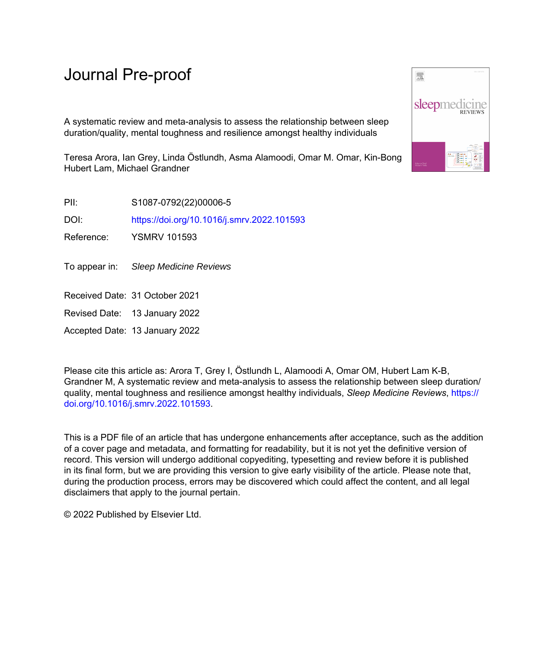# Journal Pre-proof

A systematic review and meta-analysis to assess the relationship between sleep duration/quality, mental toughness and resilience amongst healthy individuals

Teresa Arora, Ian Grey, Linda Östlundh, Asma Alamoodi, Omar M. Omar, Kin-Bong Hubert Lam, Michael Grandner

PII: S1087-0792(22)00006-5

DOI: <https://doi.org/10.1016/j.smrv.2022.101593>

Reference: YSMRV 101593

To appear in: Sleep Medicine Reviews

Received Date: 31 October 2021

Revised Date: 13 January 2022

Accepted Date: 13 January 2022

Please cite this article as: Arora T, Grey I, Östlundh L, Alamoodi A, Omar OM, Hubert Lam K-B, Grandner M, A systematic review and meta-analysis to assess the relationship between sleep duration/ quality, mental toughness and resilience amongst healthy individuals, *Sleep Medicine Reviews*, [https://](https://doi.org/10.1016/j.smrv.2022.101593) [doi.org/10.1016/j.smrv.2022.101593](https://doi.org/10.1016/j.smrv.2022.101593).

This is a PDF file of an article that has undergone enhancements after acceptance, such as the addition of a cover page and metadata, and formatting for readability, but it is not yet the definitive version of record. This version will undergo additional copyediting, typesetting and review before it is published in its final form, but we are providing this version to give early visibility of the article. Please note that, during the production process, errors may be discovered which could affect the content, and all legal disclaimers that apply to the journal pertain.

© 2022 Published by Elsevier Ltd.

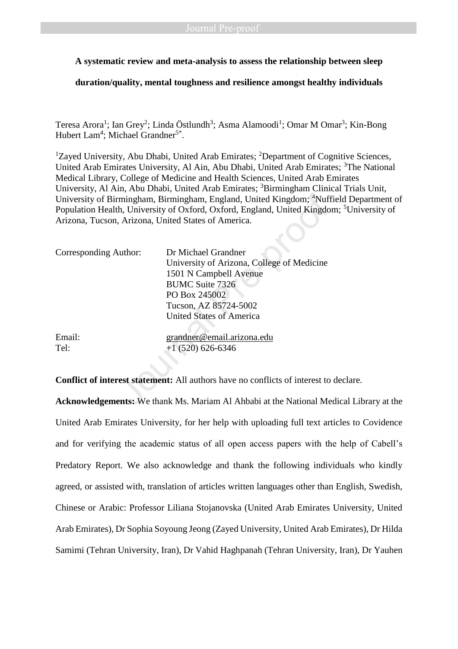# **A systematic review and meta-analysis to assess the relationship between sleep**

# **duration/quality, mental toughness and resilience amongst healthy individuals**

Teresa Arora<sup>1</sup>; Ian Grey<sup>2</sup>; Linda Östlundh<sup>3</sup>; Asma Alamoodi<sup>1</sup>; Omar M Omar<sup>3</sup>; Kin-Bong Hubert Lam<sup>4</sup>; Michael Grandner<sup>5\*</sup>.

 $1$ Zayed University, Abu Dhabi, United Arab Emirates;  $2$ Department of Cognitive Sciences, United Arab Emirates University, Al Ain, Abu Dhabi, United Arab Emirates; <sup>3</sup>The National Medical Library, College of Medicine and Health Sciences, United Arab Emirates University, Al Ain, Abu Dhabi, United Arab Emirates; <sup>3</sup>Birmingham Clinical Trials Unit, University of Birmingham, Birmingham, England, United Kingdom; <sup>4</sup>Nuffield Department of Population Health, University of Oxford, Oxford, England, United Kingdom; <sup>5</sup>University of Arizona, Tucson, Arizona, United States of America.

|                                                     | University of Birmingham, Birmingham, England, United Kingdom; <sup>4</sup> Nuff    |
|-----------------------------------------------------|-------------------------------------------------------------------------------------|
|                                                     | Population Health, University of Oxford, Oxford, England, United Kingdo             |
| Arizona, Tucson, Arizona, United States of America. |                                                                                     |
|                                                     |                                                                                     |
|                                                     |                                                                                     |
| Corresponding Author:                               | Dr Michael Grandner                                                                 |
|                                                     | University of Arizona, College of Medicine                                          |
|                                                     | 1501 N Campbell Avenue                                                              |
|                                                     | <b>BUMC Suite 7326</b>                                                              |
|                                                     | PO Box 245002                                                                       |
|                                                     | Tucson, AZ 85724-5002                                                               |
|                                                     | <b>United States of America</b>                                                     |
|                                                     |                                                                                     |
| Email:                                              | grandner@email.arizona.edu                                                          |
| Tel:                                                | $+1(520)$ 626-6346                                                                  |
|                                                     |                                                                                     |
|                                                     |                                                                                     |
|                                                     | <b>Conflict of interest statement:</b> All authors have no conflicts of interest to |
|                                                     | <b>Acknowledgements:</b> We thank Ms. Mariam Al Ahbabi at the National Me           |

**Conflict of interest statement:** All authors have no conflicts of interest to declare.

**Acknowledgements:** We thank Ms. Mariam Al Ahbabi at the National Medical Library at the United Arab Emirates University, for her help with uploading full text articles to Covidence and for verifying the academic status of all open access papers with the help of Cabell's Predatory Report. We also acknowledge and thank the following individuals who kindly agreed, or assisted with, translation of articles written languages other than English, Swedish, Chinese or Arabic: Professor Liliana Stojanovska (United Arab Emirates University, United Arab Emirates), Dr Sophia Soyoung Jeong (Zayed University, United Arab Emirates), Dr Hilda Samimi (Tehran University, Iran), Dr Vahid Haghpanah (Tehran University, Iran), Dr Yauhen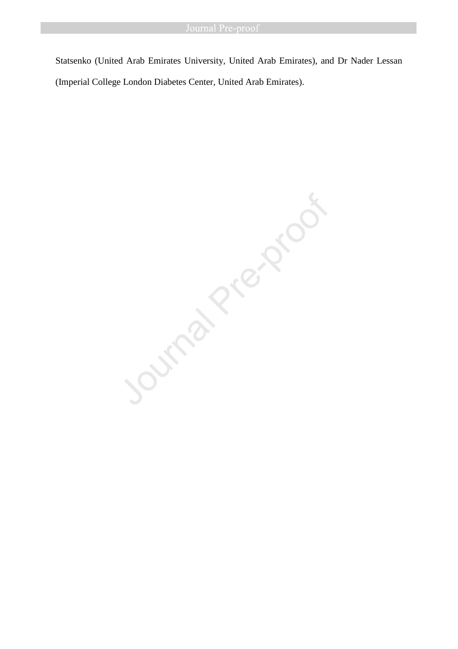Statsenko (United Arab Emirates University, United Arab Emirates), and Dr Nader Lessan (Imperial College London Diabetes Center, United Arab Emirates).

Outral Pre-proof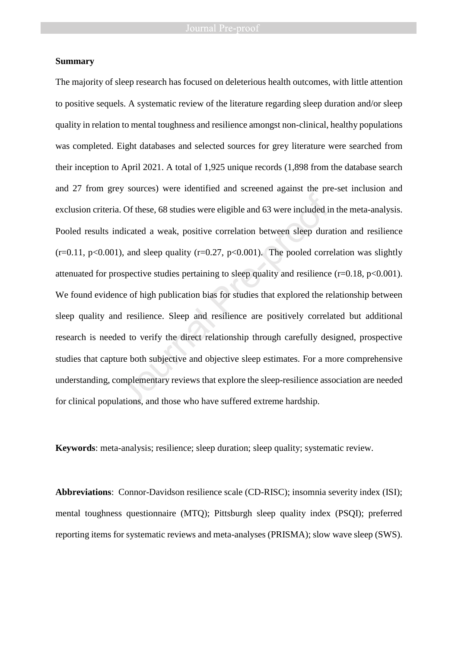# **Summary**

The majority of sleep research has focused on deleterious health outcomes, with little attention to positive sequels. A systematic review of the literature regarding sleep duration and/or sleep quality in relation to mental toughness and resilience amongst non-clinical, healthy populations was completed. Eight databases and selected sources for grey literature were searched from their inception to April 2021. A total of 1,925 unique records (1,898 from the database search and 27 from grey sources) were identified and screened against the pre-set inclusion and exclusion criteria. Of these, 68 studies were eligible and 63 were included in the meta-analysis. Pooled results indicated a weak, positive correlation between sleep duration and resilience  $(r=0.11, p<0.001)$ , and sleep quality  $(r=0.27, p<0.001)$ . The pooled correlation was slightly attenuated for prospective studies pertaining to sleep quality and resilience  $(r=0.18, p<0.001)$ . We found evidence of high publication bias for studies that explored the relationship between sleep quality and resilience. Sleep and resilience are positively correlated but additional research is needed to verify the direct relationship through carefully designed, prospective studies that capture both subjective and objective sleep estimates. For a more comprehensive understanding, complementary reviews that explore the sleep-resilience association are needed for clinical populations, and those who have suffered extreme hardship. a. Of these, 68 studies were eligible and 63 were included in a<br>dicated a weak, positive correlation between sleep dural), and sleep quality  $(r=0.27, p<0.001)$ . The pooled corre<br>ospective studies pertaining to sleep qualit

**Keywords**: meta-analysis; resilience; sleep duration; sleep quality; systematic review.

**Abbreviations**: Connor-Davidson resilience scale (CD-RISC); insomnia severity index (ISI); mental toughness questionnaire (MTQ); Pittsburgh sleep quality index (PSQI); preferred reporting items for systematic reviews and meta-analyses (PRISMA); slow wave sleep (SWS).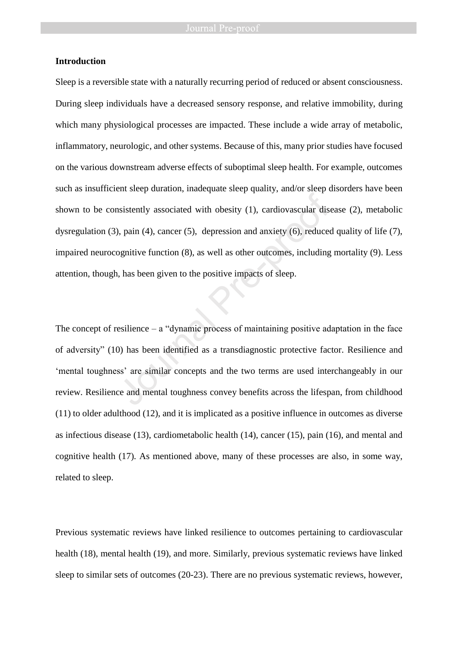# **Introduction**

Sleep is a reversible state with a naturally recurring period of reduced or absent consciousness. During sleep individuals have a decreased sensory response, and relative immobility, during which many physiological processes are impacted. These include a wide array of metabolic, inflammatory, neurologic, and other systems. Because of this, many prior studies have focused on the various downstream adverse effects of suboptimal sleep health. For example, outcomes such as insufficient sleep duration, inadequate sleep quality, and/or sleep disorders have been shown to be consistently associated with obesity (1), cardiovascular disease (2), metabolic dysregulation (3), pain (4), cancer (5), depression and anxiety (6), reduced quality of life (7), impaired neurocognitive function (8), as well as other outcomes, including mortality (9). Less attention, though, has been given to the positive impacts of sleep. A real of the observed in the set of the set of the set of the set of the space of the spatial pre-properties (6), reduced openitive function (8), as well as other outcomes, including the space of the positive impacts of

The concept of resilience – a "dynamic process of maintaining positive adaptation in the face of adversity" (10) has been identified as a transdiagnostic protective factor. Resilience and 'mental toughness' are similar concepts and the two terms are used interchangeably in our review. Resilience and mental toughness convey benefits across the lifespan, from childhood (11) to older adulthood (12), and it is implicated as a positive influence in outcomes as diverse as infectious disease (13), cardiometabolic health (14), cancer (15), pain (16), and mental and cognitive health (17). As mentioned above, many of these processes are also, in some way, related to sleep.

Previous systematic reviews have linked resilience to outcomes pertaining to cardiovascular health (18), mental health (19), and more. Similarly, previous systematic reviews have linked sleep to similar sets of outcomes (20-23). There are no previous systematic reviews, however,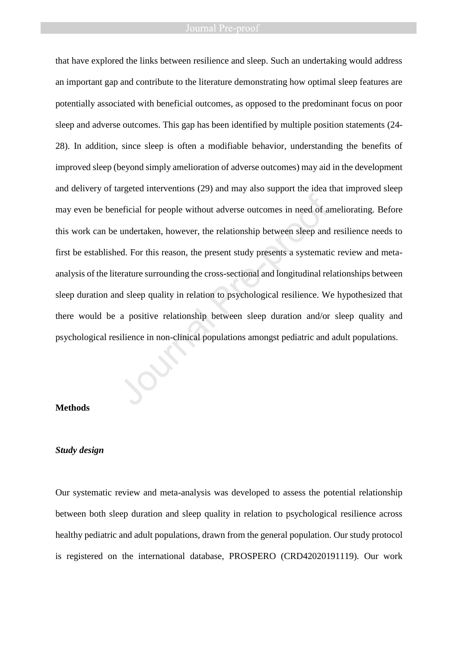that have explored the links between resilience and sleep. Such an undertaking would address an important gap and contribute to the literature demonstrating how optimal sleep features are potentially associated with beneficial outcomes, as opposed to the predominant focus on poor sleep and adverse outcomes. This gap has been identified by multiple position statements (24- 28). In addition, since sleep is often a modifiable behavior, understanding the benefits of improved sleep (beyond simply amelioration of adverse outcomes) may aid in the development and delivery of targeted interventions (29) and may also support the idea that improved sleep may even be beneficial for people without adverse outcomes in need of ameliorating. Before this work can be undertaken, however, the relationship between sleep and resilience needs to first be established. For this reason, the present study presents a systematic review and metaanalysis of the literature surrounding the cross-sectional and longitudinal relationships between sleep duration and sleep quality in relation to psychological resilience. We hypothesized that there would be a positive relationship between sleep duration and/or sleep quality and psychological resilience in non-clinical populations amongst pediatric and adult populations. Internal for people without adverse outcomes in need of a<br>
undertaken, however, the relationship between sleep and<br>
ed. For this reason, the present study presents a systematic<br>
erature surrounding the cross-sectional and

## **Methods**

# *Study design*

Our systematic review and meta-analysis was developed to assess the potential relationship between both sleep duration and sleep quality in relation to psychological resilience across healthy pediatric and adult populations, drawn from the general population. Our study protocol is registered on the international database, PROSPERO (CRD42020191119). Our work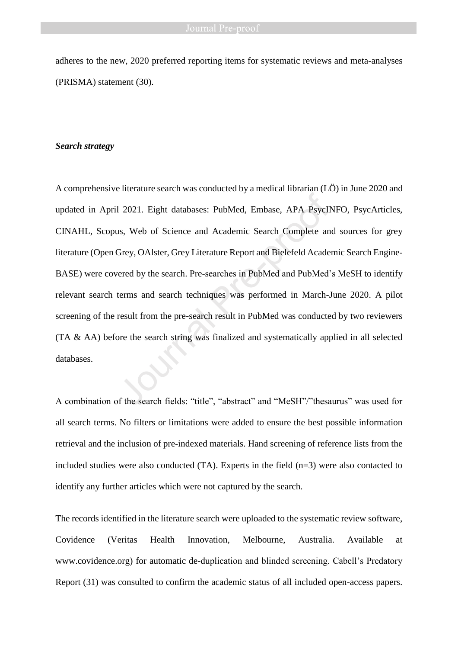adheres to the new, 2020 preferred reporting items for systematic reviews and meta-analyses (PRISMA) statement (30).

### *Search strategy*

A comprehensive literature search was conducted by a medical librarian (LÖ) in June 2020 and updated in April 2021. Eight databases: PubMed, Embase, APA PsycINFO, PsycArticles, CINAHL, Scopus, Web of Science and Academic Search Complete and sources for grey literature (Open Grey, OAlster, Grey Literature Report and Bielefeld Academic Search Engine-BASE) were covered by the search. Pre-searches in PubMed and PubMed's MeSH to identify relevant search terms and search techniques was performed in March-June 2020. A pilot screening of the result from the pre-search result in PubMed was conducted by two reviewers (TA & AA) before the search string was finalized and systematically applied in all selected databases. 1 2021. Eight databases: PubMed, Embase, APA PsycII<br>1s, Web of Science and Academic Search Complete an<br>Grey, OAlster, Grey Literature Report and Bielefeld Acade<br>1ered by the search. Pre-searches in PubMed and PubMed<br>1erms

A combination of the search fields: "title", "abstract" and "MeSH"/"thesaurus" was used for all search terms. No filters or limitations were added to ensure the best possible information retrieval and the inclusion of pre-indexed materials. Hand screening of reference lists from the included studies were also conducted  $(TA)$ . Experts in the field  $(n=3)$  were also contacted to identify any further articles which were not captured by the search.

The records identified in the literature search were uploaded to the systematic review software, Covidence (Veritas Health Innovation, Melbourne, Australia. Available at www.covidence.org) for automatic de-duplication and blinded screening. Cabell's Predatory Report (31) was consulted to confirm the academic status of all included open-access papers.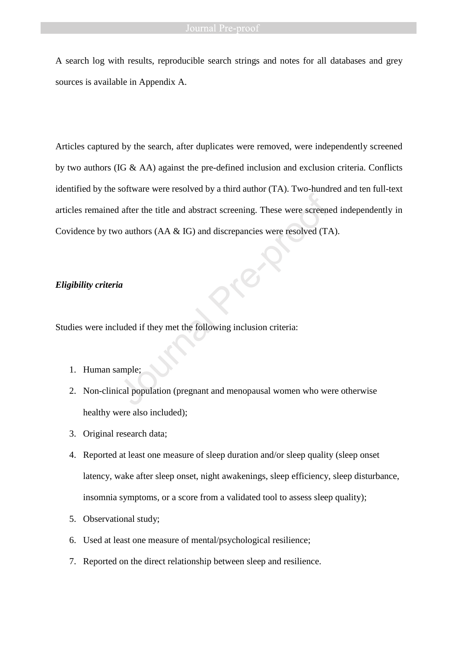A search log with results, reproducible search strings and notes for all databases and grey sources is available in Appendix A.

Articles captured by the search, after duplicates were removed, were independently screened by two authors (IG & AA) against the pre-defined inclusion and exclusion criteria. Conflicts identified by the software were resolved by a third author (TA). Two-hundred and ten full-text articles remained after the title and abstract screening. These were screened independently in Covidence by two authors (AA & IG) and discrepancies were resolved (TA). Figure 1 after the title and abstract screening. These were screened<br>volumes (AA & IG) and discrepancies were resolved (TA<br>in a sumpled if they met the following inclusion criteria:<br>ample:<br>ical population (pregnant and me

# *Eligibility criteria*

Studies were included if they met the following inclusion criteria:

- 1. Human sample;
- 2. Non-clinical population (pregnant and menopausal women who were otherwise healthy were also included);
- 3. Original research data;
- 4. Reported at least one measure of sleep duration and/or sleep quality (sleep onset latency, wake after sleep onset, night awakenings, sleep efficiency, sleep disturbance, insomnia symptoms, or a score from a validated tool to assess sleep quality);
- 5. Observational study;
- 6. Used at least one measure of mental/psychological resilience;
- 7. Reported on the direct relationship between sleep and resilience.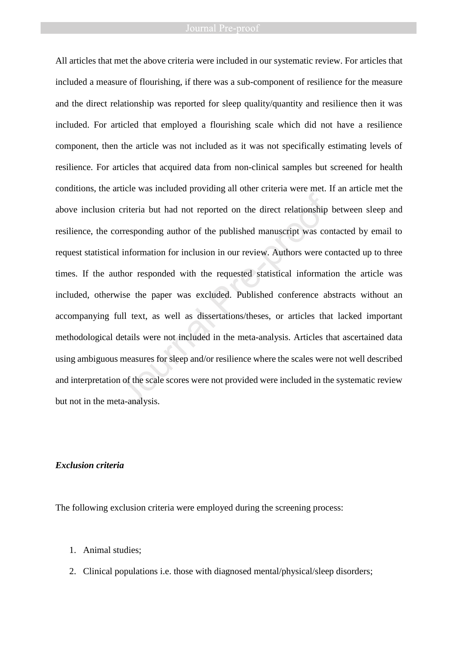All articles that met the above criteria were included in our systematic review. For articles that included a measure of flourishing, if there was a sub-component of resilience for the measure and the direct relationship was reported for sleep quality/quantity and resilience then it was included. For articled that employed a flourishing scale which did not have a resilience component, then the article was not included as it was not specifically estimating levels of resilience. For articles that acquired data from non-clinical samples but screened for health conditions, the article was included providing all other criteria were met. If an article met the above inclusion criteria but had not reported on the direct relationship between sleep and resilience, the corresponding author of the published manuscript was contacted by email to request statistical information for inclusion in our review. Authors were contacted up to three times. If the author responded with the requested statistical information the article was included, otherwise the paper was excluded. Published conference abstracts without an accompanying full text, as well as dissertations/theses, or articles that lacked important methodological details were not included in the meta-analysis. Articles that ascertained data using ambiguous measures for sleep and/or resilience where the scales were not well described and interpretation of the scale scores were not provided were included in the systematic review but not in the meta-analysis. criteria but had not reported on the direct relationship<br>orresponding author of the published manuscript was cordenation for inclusion in our review. Authors were cont<br>thor responded with the requested statistical informat

# *Exclusion criteria*

The following exclusion criteria were employed during the screening process:

- 1. Animal studies;
- 2. Clinical populations i.e. those with diagnosed mental/physical/sleep disorders;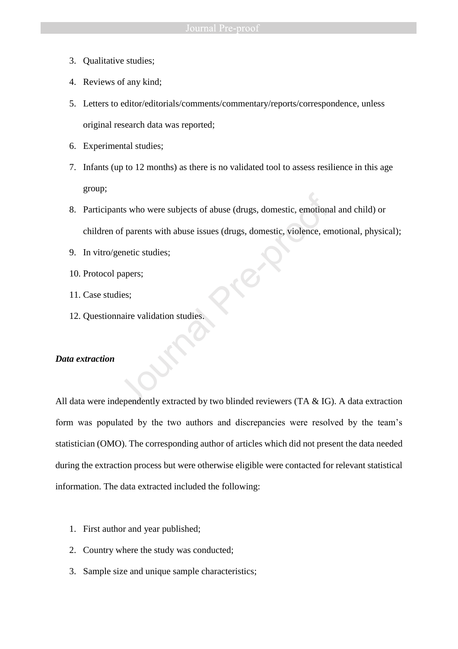- 3. Qualitative studies;
- 4. Reviews of any kind;
- 5. Letters to editor/editorials/comments/commentary/reports/correspondence, unless original research data was reported;
- 6. Experimental studies;
- 7. Infants (up to 12 months) as there is no validated tool to assess resilience in this age group;
- 8. Participants who were subjects of abuse (drugs, domestic, emotional and child) or children of parents with abuse issues (drugs, domestic, violence, emotional, physical); Journal Pre-proof
- 9. In vitro/genetic studies;
- 10. Protocol papers;
- 11. Case studies;
- 12. Questionnaire validation studies.

## *Data extraction*

All data were independently extracted by two blinded reviewers (TA & IG). A data extraction form was populated by the two authors and discrepancies were resolved by the team's statistician (OMO). The corresponding author of articles which did not present the data needed during the extraction process but were otherwise eligible were contacted for relevant statistical information. The data extracted included the following:

- 1. First author and year published;
- 2. Country where the study was conducted;
- 3. Sample size and unique sample characteristics;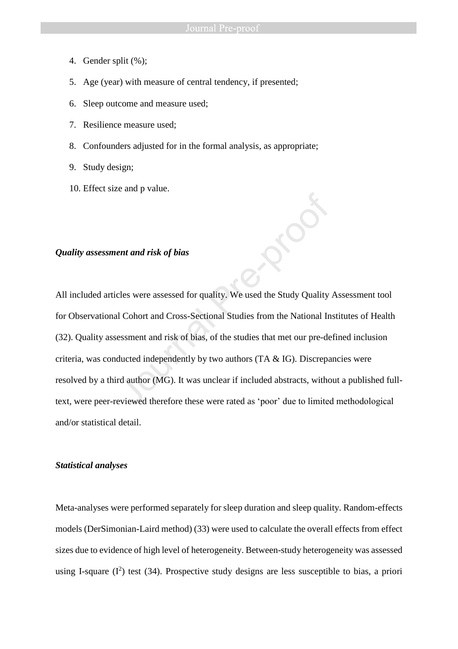- 4. Gender split (%);
- 5. Age (year) with measure of central tendency, if presented;
- 6. Sleep outcome and measure used;
- 7. Resilience measure used;
- 8. Confounders adjusted for in the formal analysis, as appropriate;
- 9. Study design;
- 10. Effect size and p value.

# *Quality assessment and risk of bias*

All included articles were assessed for quality. We used the Study Quality Assessment tool for Observational Cohort and Cross-Sectional Studies from the National Institutes of Health (32). Quality assessment and risk of bias, of the studies that met our pre-defined inclusion criteria, was conducted independently by two authors (TA  $\&$  IG). Discrepancies were resolved by a third author (MG). It was unclear if included abstracts, without a published fulltext, were peer-reviewed therefore these were rated as 'poor' due to limited methodological and/or statistical detail. **Example 12 and Tisk of bias**<br>
Les were assessed for quality. We used the Study Quality<br>
Il Cohort and Cross-Sectional Studies from the National In<br>
Lessment and risk of bias, of the studies that met our pre-de<br>
ducted ind

### *Statistical analyses*

Meta-analyses were performed separately for sleep duration and sleep quality. Random-effects models (DerSimonian-Laird method) (33) were used to calculate the overall effects from effect sizes due to evidence of high level of heterogeneity. Between-study heterogeneity was assessed using I-square  $(I^2)$  test (34). Prospective study designs are less susceptible to bias, a priori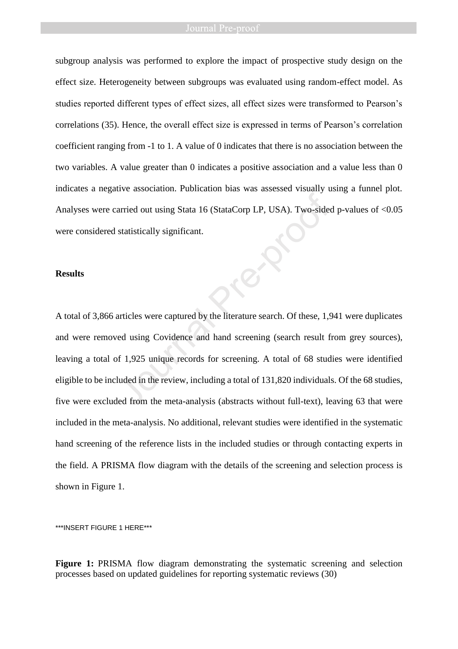# **Journal Pre-proof**

subgroup analysis was performed to explore the impact of prospective study design on the effect size. Heterogeneity between subgroups was evaluated using random-effect model. As studies reported different types of effect sizes, all effect sizes were transformed to Pearson's correlations (35). Hence, the overall effect size is expressed in terms of Pearson's correlation coefficient ranging from -1 to 1. A value of 0 indicates that there is no association between the two variables. A value greater than 0 indicates a positive association and a value less than 0 indicates a negative association. Publication bias was assessed visually using a funnel plot. Analyses were carried out using Stata 16 (StataCorp LP, USA). Two-sided p-values of <0.05 were considered statistically significant.

# **Results**

A total of 3,866 articles were captured by the literature search. Of these, 1,941 were duplicates and were removed using Covidence and hand screening (search result from grey sources), leaving a total of 1,925 unique records for screening. A total of 68 studies were identified eligible to be included in the review, including a total of 131,820 individuals. Of the 68 studies, five were excluded from the meta-analysis (abstracts without full-text), leaving 63 that were included in the meta-analysis. No additional, relevant studies were identified in the systematic hand screening of the reference lists in the included studies or through contacting experts in the field. A PRISMA flow diagram with the details of the screening and selection process is shown in Figure 1. arried out using Stata 16 (StataCorp LP, USA). Two-side<br>statistically significant.<br>articles were captured by the literature search. Of these, 1,9<br>ed using Covidence and hand screening (search result f<br>of 1,925 unique recor

\*\*\*INSERT FIGURE 1 HERE\*\*\*

**Figure 1:** PRISMA flow diagram demonstrating the systematic screening and selection processes based on updated guidelines for reporting systematic reviews (30)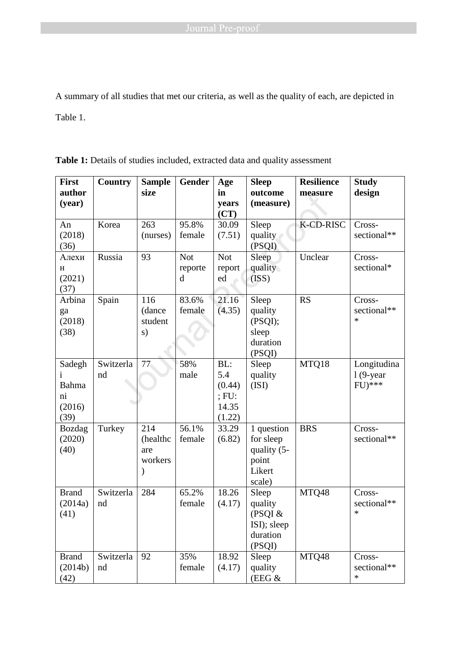A summary of all studies that met our criteria, as well as the quality of each, are depicted in

Table 1.

| <b>First</b><br>author<br>(year)                                 | <b>Country</b>  | <b>Sample</b><br>size             | <b>Gender</b>              | Age<br>in<br>years<br>(CT)                       | <b>Sleep</b><br>outcome<br>(measure)                                | <b>Resilience</b><br>measure | <b>Study</b><br>design                  |
|------------------------------------------------------------------|-----------------|-----------------------------------|----------------------------|--------------------------------------------------|---------------------------------------------------------------------|------------------------------|-----------------------------------------|
| An<br>(2018)<br>(36)                                             | Korea           | 263<br>(nurses)                   | 95.8%<br>female            | 30.09<br>(7.51)                                  | Sleep<br>quality<br>(PSQI)                                          | K-CD-RISC                    | Cross-<br>sectional**                   |
| Алехи<br>H<br>(2021)<br>(37)                                     | Russia          | 93                                | <b>Not</b><br>reporte<br>d | <b>Not</b><br>report<br>ed                       | Sleep<br>quality<br>(ISS)                                           | Unclear                      | Cross-<br>sectional*                    |
| Arbina<br>ga<br>(2018)<br>(38)                                   | Spain           | 116<br>(dance<br>student<br>s)    | 83.6%<br>female            | 21.16<br>(4.35)                                  | Sleep<br>quality<br>(PSQI);<br>sleep<br>duration<br>(PSQI)          | <b>RS</b>                    | Cross-<br>sectional**<br>$\ast$         |
| Sadegh<br>i<br><b>Bahma</b><br>$\overline{ni}$<br>(2016)<br>(39) | Switzerla<br>nd | 77                                | 58%<br>male                | BL:<br>5.4<br>(0.44)<br>; FU:<br>14.35<br>(1.22) | Sleep<br>quality<br>(ISI)                                           | MTQ18                        | Longitudina<br>$1(9$ -year<br>$FU$ )*** |
| Bozdag<br>(2020)<br>(40)                                         | Turkey          | 214<br>(healthc<br>are<br>workers | 56.1%<br>female            | 33.29<br>(6.82)                                  | 1 question<br>for sleep<br>quality (5-<br>point<br>Likert<br>scale) | <b>BRS</b>                   | Cross-<br>sectional**                   |
| <b>Brand</b><br>(2014a)<br>(41)                                  | Switzerla<br>nd | 284                               | 65.2%<br>female            | 18.26<br>(4.17)                                  | Sleep<br>quality<br>(PSQI &<br>ISI); sleep<br>duration<br>(PSQI)    | MTQ48                        | Cross-<br>sectional**<br>$\ast$         |
| <b>Brand</b><br>(2014b)<br>(42)                                  | Switzerla<br>nd | 92                                | 35%<br>female              | 18.92<br>(4.17)                                  | Sleep<br>quality<br>$(EEG \&$                                       | MTQ48                        | Cross-<br>sectional**<br>$\ast$         |

**Table 1:** Details of studies included, extracted data and quality assessment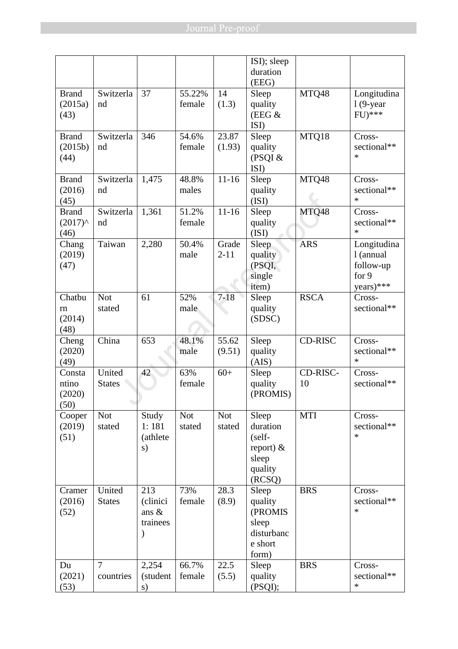|              |                |          |            |            | ISI); sleep  |                |                       |
|--------------|----------------|----------|------------|------------|--------------|----------------|-----------------------|
|              |                |          |            |            | duration     |                |                       |
|              |                |          |            |            | (EEG)        |                |                       |
| <b>Brand</b> | Switzerla      | 37       | 55.22%     | 14         | Sleep        | MTQ48          | Longitudina           |
| (2015a)      | nd             |          | female     | (1.3)      | quality      |                | $1(9$ -year           |
| (43)         |                |          |            |            | $(EEG \&$    |                | $FU$ )***             |
|              |                |          |            |            | ISI)         |                |                       |
| <b>Brand</b> | Switzerla      | 346      | 54.6%      | 23.87      | Sleep        | MTQ18          | Cross-                |
| (2015b)      | nd             |          | female     | (1.93)     |              |                | sectional**           |
|              |                |          |            |            | quality      |                | $\ast$                |
| (44)         |                |          |            |            | (PSQI &      |                |                       |
|              |                |          |            |            | ISI)         |                |                       |
| <b>Brand</b> | Switzerla      | 1,475    | 48.8%      | $11 - 16$  | Sleep        | MTQ48          | Cross-                |
| (2016)       | nd             |          | males      |            | quality      |                | sectional**           |
| (45)         |                |          |            |            | (ISI)        |                | $\ast$                |
| <b>Brand</b> | Switzerla      | 1,361    | 51.2%      | $11 - 16$  | Sleep        | MTQ48          | Cross-                |
| $(2017)^{A}$ | nd             |          | female     |            | quality      |                | sectional**           |
| (46)         |                |          |            |            | (ISI)        |                | $\ast$                |
| Chang        | Taiwan         | 2,280    | 50.4%      | Grade      | Sleep        | <b>ARS</b>     | Longitudina           |
| (2019)       |                |          | male       | $2 - 11$   | quality      |                | 1 (annual             |
| (47)         |                |          |            |            | (PSQI,       |                | follow-up             |
|              |                |          |            |            | single       |                | for 9                 |
|              |                |          |            |            | item)        |                | years)***             |
| Chatbu       | <b>Not</b>     | 61       | 52%        | $7 - 18$   | Sleep        | <b>RSCA</b>    | Cross-                |
| rn           | stated         |          | male       |            | quality      |                | sectional**           |
| (2014)       |                |          |            |            | (SDSC)       |                |                       |
| (48)         |                |          |            |            |              |                |                       |
| Cheng        | China          | 653      | 48.1%      | 55.62      | Sleep        | <b>CD-RISC</b> | Cross-                |
|              |                |          |            |            |              |                | sectional**           |
| (2020)       |                |          | male       | (9.51)     | quality      |                | $\ast$                |
| (49)         |                |          |            |            | (AIS)        |                |                       |
| Consta       | United         | 42       | 63%        | $60+$      | Sleep        | CD-RISC-       | Cross-                |
| ntino        | <b>States</b>  |          | female     |            | quality      | 10             | sectional**           |
| (2020)       |                |          |            |            | (PROMIS)     |                |                       |
| (50)         |                |          |            |            |              |                |                       |
| Cooper       | <b>Not</b>     | Study    | <b>Not</b> | <b>Not</b> | Sleep        | <b>MTI</b>     | Cross-                |
| (2019)       | stated         | 1:181    | stated     | stated     | duration     |                | sectional**           |
| (51)         |                | (athlete |            |            | (self-       |                | $\ast$                |
|              |                | s)       |            |            | report) $\&$ |                |                       |
|              |                |          |            |            | sleep        |                |                       |
|              |                |          |            |            | quality      |                |                       |
|              |                |          |            |            | (RCSQ)       |                |                       |
| Cramer       | United         | 213      | 73%        | 28.3       | Sleep        | <b>BRS</b>     | Cross-                |
| (2016)       | <b>States</b>  | (clinici | female     | (8.9)      | quality      |                | sectional**           |
| (52)         |                | ans $\&$ |            |            | (PROMIS      |                | $\ast$                |
|              |                | trainees |            |            | sleep        |                |                       |
|              |                |          |            |            | disturbanc   |                |                       |
|              |                |          |            |            | e short      |                |                       |
|              |                |          |            |            |              |                |                       |
|              | $\overline{7}$ |          |            |            | form)        |                |                       |
| Du           |                | 2,254    | 66.7%      | 22.5       | Sleep        | <b>BRS</b>     | Cross-                |
| (2021)       | countries      | (student | female     | (5.5)      | quality      |                | sectional**<br>$\ast$ |
| (53)         |                | s)       |            |            | (PSQI);      |                |                       |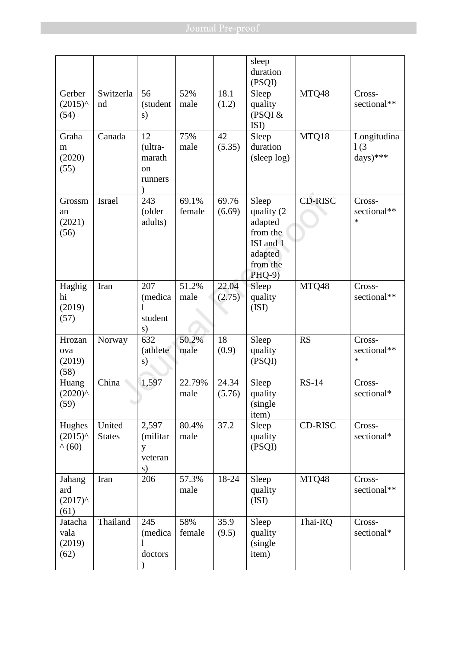|                     |               |               |        |        | sleep       |                |             |
|---------------------|---------------|---------------|--------|--------|-------------|----------------|-------------|
|                     |               |               |        |        | duration    |                |             |
|                     |               |               |        |        | (PSQI)      |                |             |
| Gerber              | Switzerla     | 56            | 52%    | 18.1   | Sleep       | MTQ48          | Cross-      |
| $(2015)^{^}$        | nd            | (student      | male   | (1.2)  | quality     |                | sectional** |
| (54)                |               | s)            |        |        | (PSQI &     |                |             |
|                     |               |               |        |        | ISI)        |                |             |
| Graha               | Canada        | 12            | 75%    | 42     | Sleep       | MTQ18          | Longitudina |
| m                   |               | (ultra-       | male   | (5.35) | duration    |                | 1(3)        |
| (2020)              |               | marath        |        |        | (sleep log) |                | days)***    |
| (55)                |               | <sub>on</sub> |        |        |             |                |             |
|                     |               | runners       |        |        |             |                |             |
|                     |               |               |        |        |             |                |             |
| Grossm              | <b>Israel</b> | 243           | 69.1%  | 69.76  | Sleep       | <b>CD-RISC</b> | Cross-      |
| an                  |               | (older        | female | (6.69) | quality (2) |                | sectional** |
| (2021)              |               | adults)       |        |        | adapted     |                | $\ast$      |
| (56)                |               |               |        |        | from the    |                |             |
|                     |               |               |        |        | ISI and 1   |                |             |
|                     |               |               |        |        | adapted     |                |             |
|                     |               |               |        |        | from the    |                |             |
|                     |               |               |        |        | $PHQ-9)$    |                |             |
| Haghig              | Iran          | 207           | 51.2%  | 22.04  | Sleep       | MTQ48          | Cross-      |
| hi                  |               | (medica       | male   | (2.75) | quality     |                | sectional** |
| (2019)              |               |               |        |        | (ISI)       |                |             |
|                     |               | student       |        |        |             |                |             |
| (57)                |               |               |        |        |             |                |             |
| Hrozan              | Norway        | s)<br>632     | 50.2%  | 18     | Sleep       | <b>RS</b>      | Cross-      |
|                     |               | (athlete      | male   | (0.9)  |             |                | sectional** |
| ova                 |               |               |        |        | quality     |                | $\ast$      |
| (2019)              |               | s)            |        |        | (PSQI)      |                |             |
| (58)                | China         |               | 22.79% | 24.34  |             | $RS-14$        | Cross-      |
| Huang               |               | 1,597         | male   |        | Sleep       |                | sectional*  |
| $(2020)^{A}$        |               |               |        | (5.76) | quality     |                |             |
| (59)                |               |               |        |        | (single)    |                |             |
|                     |               |               | 80.4%  | 37.2   | item)       |                |             |
| Hughes              | United        | 2,597         |        |        | Sleep       | CD-RISC        | Cross-      |
| $(2015)^{^{\circ}}$ | <b>States</b> | (militar)     | male   |        | quality     |                | sectional*  |
| (60)                |               | y             |        |        | (PSQI)      |                |             |
|                     |               | veteran       |        |        |             |                |             |
|                     |               | s)            |        |        |             |                |             |
| Jahang              | Iran          | 206           | 57.3%  | 18-24  | Sleep       | MTQ48          | Cross-      |
| ard                 |               |               | male   |        | quality     |                | sectional** |
| $(2017)^{A}$        |               |               |        |        | (ISI)       |                |             |
| (61)                |               |               |        |        |             |                |             |
| Jatacha             | Thailand      | 245           | 58%    | 35.9   | Sleep       | Thai-RQ        | Cross-      |
| vala                |               | (medica       | female | (9.5)  | quality     |                | sectional*  |
| (2019)              |               |               |        |        | (single)    |                |             |
| (62)                |               | doctors       |        |        | item)       |                |             |
|                     |               |               |        |        |             |                |             |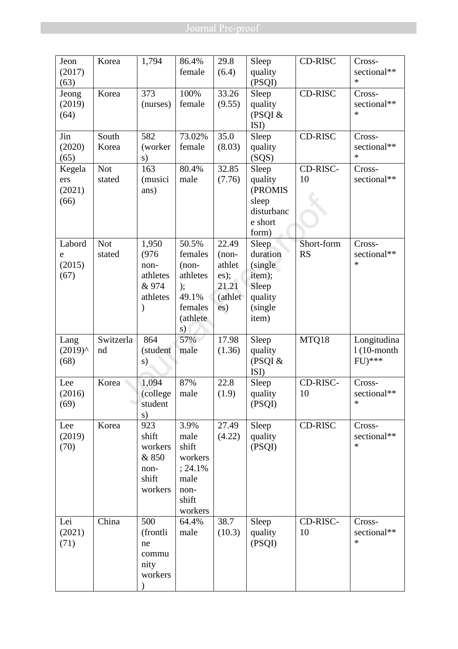| Jeon                | Korea      | 1,794         | 86.4%            | 29.8      | Sleep      | CD-RISC        | Cross-                     |
|---------------------|------------|---------------|------------------|-----------|------------|----------------|----------------------------|
| (2017)              |            |               | female           | (6.4)     | quality    |                | sectional**                |
| (63)                |            |               |                  |           | (PSQI)     |                | $\ast$                     |
| Jeong               | Korea      | 373           | 100%             | 33.26     | Sleep      | <b>CD-RISC</b> | Cross-                     |
| (2019)              |            | (nurses)      | female           | (9.55)    | quality    |                | sectional**                |
| (64)                |            |               |                  |           | (PSQI &    |                | $\ast$                     |
|                     |            |               |                  |           | ISI)       |                |                            |
| Jin                 | South      | 582           | 73.02%           | 35.0      | Sleep      | <b>CD-RISC</b> | Cross-                     |
| (2020)              | Korea      | (worker       | female           | (8.03)    | quality    |                | sectional**                |
| (65)                |            | s)            |                  |           | (SQS)      |                | $\ast$                     |
| Kegela              | <b>Not</b> | 163           | 80.4%            | 32.85     | Sleep      | CD-RISC-       | Cross-                     |
| ers                 | stated     | (musici       | male             | (7.76)    | quality    | 10             | sectional**                |
| (2021)              |            | ans)          |                  |           | (PROMIS    |                |                            |
| (66)                |            |               |                  |           | sleep      |                |                            |
|                     |            |               |                  |           | disturbanc |                |                            |
|                     |            |               |                  |           | e short    |                |                            |
|                     |            |               |                  |           | form)      |                |                            |
| Labord              | <b>Not</b> | 1,950         | 50.5%            | 22.49     | Sleep      | Short-form     | Cross-                     |
| e                   | stated     | (976)         | females          | $(non-$   | duration   | <b>RS</b>      | sectional**                |
| (2015)              |            | non-          | $(non-$          | athlet    | (single)   |                | $\ast$                     |
| (67)                |            | athletes      | athletes         | $\cos$ ); | item);     |                |                            |
|                     |            | & 974         | );               | 21.21     | Sleep      |                |                            |
|                     |            | athletes      | 49.1%            | (athlet   | quality    |                |                            |
|                     |            |               | females          | es)       | (single    |                |                            |
|                     |            |               | (athlete         |           | item)      |                |                            |
|                     |            |               |                  |           |            |                |                            |
|                     |            |               |                  |           |            |                |                            |
|                     |            |               | s)               |           |            |                |                            |
| Lang                | Switzerla  | 864           | 57%              | 17.98     | Sleep      | MTQ18          | Longitudina                |
| $(2019)^{^{\circ}}$ | nd         | (student      | male             | (1.36)    | quality    |                | $1(10$ -month<br>$FU$ )*** |
| (68)                |            | s)            |                  |           | (PSQI $\&$ |                |                            |
|                     | Korea      |               |                  |           | ISI)       |                |                            |
| Lee                 |            | 1,094         | 87%              | 22.8      | Sleep      | CD-RISC-       | Cross-                     |
| (2016)              |            | (college      | male             | (1.9)     | quality    | 10             | sectional**<br>$\ast$      |
| (69)                |            | student       |                  |           | (PSQI)     |                |                            |
|                     |            | s)<br>923     | 3.9%             | 27.49     |            |                | Cross-                     |
| Lee                 | Korea      | shift         |                  |           | Sleep      | <b>CD-RISC</b> | sectional**                |
| (2019)              |            | workers       | male             | (4.22)    | quality    |                | $\ast$                     |
| (70)                |            | & 850         | shift<br>workers |           | (PSQI)     |                |                            |
|                     |            |               |                  |           |            |                |                            |
|                     |            | non-<br>shift | ; 24.1%<br>male  |           |            |                |                            |
|                     |            | workers       | non-             |           |            |                |                            |
|                     |            |               | shift            |           |            |                |                            |
|                     |            |               | workers          |           |            |                |                            |
| Lei                 | China      | 500           | 64.4%            | 38.7      | Sleep      | CD-RISC-       | Cross-                     |
|                     |            | (frontli      | male             |           |            | 10             | sectional**                |
| (2021)              |            | ne            |                  | (10.3)    | quality    |                | $\ast$                     |
| (71)                |            | commu         |                  |           | (PSQI)     |                |                            |
|                     |            | nity          |                  |           |            |                |                            |
|                     |            | workers       |                  |           |            |                |                            |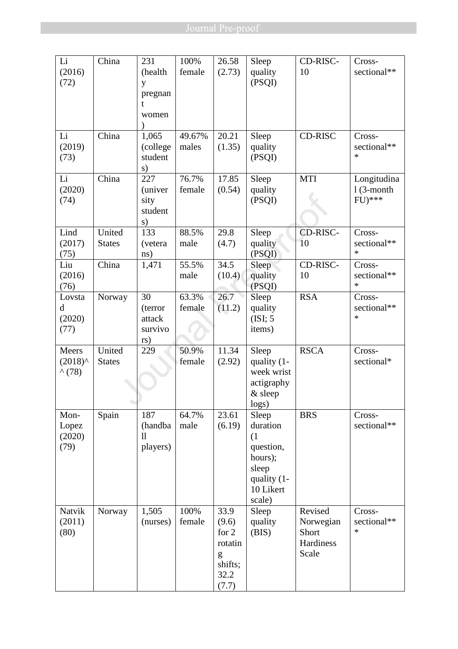| $\overline{Li}$<br>(2016)<br>(72)       | China                   | 231<br>(health<br>y<br>pregnan<br>t<br>women | 100%<br>female  | 26.58<br>(2.73)                                                    | Sleep<br>quality<br>(PSQI)                                                                      | CD-RISC-<br>10                                      | Cross-<br>sectional**                    |
|-----------------------------------------|-------------------------|----------------------------------------------|-----------------|--------------------------------------------------------------------|-------------------------------------------------------------------------------------------------|-----------------------------------------------------|------------------------------------------|
| Li<br>(2019)<br>(73)                    | China                   | 1,065<br>(college<br>student<br>s)           | 49.67%<br>males | 20.21<br>(1.35)                                                    | Sleep<br>quality<br>(PSQI)                                                                      | <b>CD-RISC</b>                                      | Cross-<br>sectional**<br>$\ast$          |
| Li<br>(2020)<br>(74)                    | China                   | 227<br>(univer<br>sity<br>student<br>s)      | 76.7%<br>female | 17.85<br>(0.54)                                                    | Sleep<br>quality<br>(PSQI)                                                                      | <b>MTI</b>                                          | Longitudina<br>$1(3$ -month<br>$FU$ )*** |
| Lind<br>(2017)<br>(75)                  | United<br><b>States</b> | 133<br>(vetera<br>ns)                        | 88.5%<br>male   | 29.8<br>(4.7)                                                      | Sleep<br>quality<br>(PSQI)                                                                      | CD-RISC-<br>10                                      | Cross-<br>sectional**<br>$\ast$          |
| Liu<br>(2016)<br>(76)                   | China                   | 1,471                                        | 55.5%<br>male   | 34.5<br>(10.4)                                                     | Sleep<br>quality<br>(PSQI)                                                                      | CD-RISC-<br>10                                      | Cross-<br>sectional**<br>$\ast$          |
| Lovsta<br>$\mathbf d$<br>(2020)<br>(77) | Norway                  | 30<br>(terror<br>attack<br>survivo<br>rs)    | 63.3%<br>female | 26.7<br>(11.2)                                                     | Sleep<br>quality<br>(ISI; 5)<br>items)                                                          | <b>RSA</b>                                          | Cross-<br>sectional**<br>$\ast$          |
| Meers<br>$(2018)^{A}$<br>(78)           | United<br><b>States</b> | 229                                          | 50.9%<br>female | 11.34<br>(2.92)                                                    | Sleep<br>quality $(1 -$<br>week wrist<br>actigraphy<br>& sleep<br>logs)                         | <b>RSCA</b>                                         | Cross-<br>sectional*                     |
| Mon-<br>Lopez<br>(2020)<br>(79)         | Spain                   | 187<br>(handba<br>$\mathbf{ll}$<br>players)  | 64.7%<br>male   | 23.61<br>(6.19)                                                    | Sleep<br>duration<br>(1)<br>question,<br>hours);<br>sleep<br>quality (1-<br>10 Likert<br>scale) | <b>BRS</b>                                          | Cross-<br>sectional**                    |
| Natvik<br>(2011)<br>(80)                | Norway                  | 1,505<br>(nurses)                            | 100%<br>female  | 33.9<br>(9.6)<br>for 2<br>rotatin<br>g<br>shifts;<br>32.2<br>(7.7) | Sleep<br>quality<br>(BIS)                                                                       | Revised<br>Norwegian<br>Short<br>Hardiness<br>Scale | Cross-<br>sectional**<br>$\ast$          |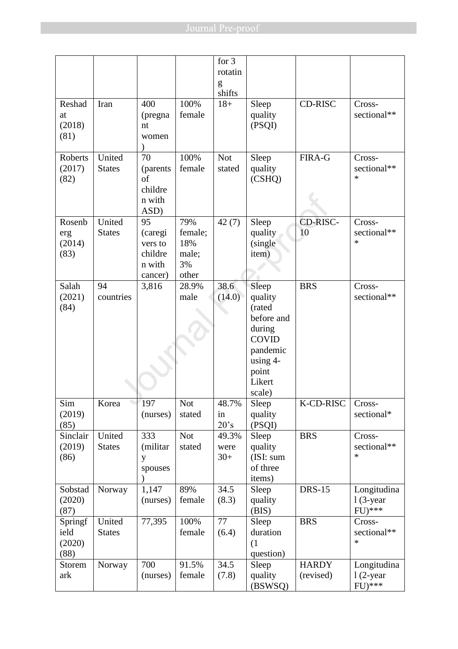|                        |               |                           |                | for $3$     |                            |                |                          |
|------------------------|---------------|---------------------------|----------------|-------------|----------------------------|----------------|--------------------------|
|                        |               |                           |                | rotatin     |                            |                |                          |
|                        |               |                           |                |             |                            |                |                          |
|                        |               |                           |                | g<br>shifts |                            |                |                          |
| Reshad<br>at<br>(2018) | Iran          | 400<br>(pregna<br>nt      | 100%<br>female | $18+$       | Sleep<br>quality<br>(PSQI) | <b>CD-RISC</b> | Cross-<br>sectional**    |
| (81)                   |               | women                     |                |             |                            |                |                          |
| Roberts                | United        | 70                        | 100%           | <b>Not</b>  | Sleep                      | <b>FIRA-G</b>  | Cross-                   |
| (2017)<br>(82)         | <b>States</b> | (parents<br>of<br>childre | female         | stated      | quality<br>(CSHQ)          |                | sectional**<br>$\ast$    |
|                        |               | n with<br>ASD)            |                |             |                            |                |                          |
| Rosenb                 | United        | 95                        | 79%            | 42(7)       | Sleep                      | CD-RISC-       | Cross-                   |
| erg                    | <b>States</b> | (caregi                   | female;        |             | quality                    | 10             | sectional**              |
| (2014)                 |               | vers to                   | 18%            |             | (single)                   |                | $\ast$                   |
| (83)                   |               | childre                   | male;          |             | item)                      |                |                          |
|                        |               | n with                    | 3%             |             |                            |                |                          |
|                        |               | cancer)                   | other          |             |                            |                |                          |
| Salah                  | 94            | 3,816                     | 28.9%          | 38.6        | Sleep                      | <b>BRS</b>     | Cross-                   |
| (2021)                 | countries     |                           | male           | (14.0)      | quality                    |                | sectional**              |
| (84)                   |               |                           |                |             | (rated                     |                |                          |
|                        |               |                           |                |             | before and                 |                |                          |
|                        |               |                           |                |             | during                     |                |                          |
|                        |               |                           |                |             | <b>COVID</b>               |                |                          |
|                        |               |                           |                |             | pandemic                   |                |                          |
|                        |               |                           |                |             | using $4-$                 |                |                          |
|                        |               |                           |                |             | point                      |                |                          |
|                        |               |                           |                |             | Likert                     |                |                          |
|                        |               |                           |                |             | scale)                     |                |                          |
| Sim                    | Korea         | 197                       | <b>Not</b>     | 48.7%       | Sleep                      | K-CD-RISC      | Cross-                   |
| (2019)                 |               | (nurses)                  | stated         | in          | quality                    |                | sectional*               |
| (85)                   |               |                           |                | 20's        | (PSQI)                     |                |                          |
| Sinclair               | United        | 333                       | <b>Not</b>     | 49.3%       | Sleep                      | <b>BRS</b>     | Cross-                   |
| (2019)                 | <b>States</b> | (militar                  | stated         | were        | quality                    |                | sectional**              |
| (86)                   |               | y                         |                | $30+$       | (ISI: sum                  |                | $\ast$                   |
|                        |               | spouses                   |                |             | of three                   |                |                          |
|                        |               |                           |                |             | items)                     |                |                          |
| Sobstad                | Norway        | 1,147                     | 89%            | 34.5        | Sleep                      | <b>DRS-15</b>  | Longitudina              |
| (2020)                 |               | (nurses)                  | female         | (8.3)       | quality                    |                | $1(3$ -year              |
| (87)                   |               |                           |                |             | (BIS)                      |                | $FU$ )***                |
| Springf                | United        | 77,395                    | 100%           | 77          | Sleep                      | <b>BRS</b>     | Cross-                   |
| ield                   | <b>States</b> |                           | female         | (6.4)       | duration                   |                | sectional**              |
| (2020)                 |               |                           |                |             | (1)                        |                | $\ast$                   |
| (88)                   |               |                           |                |             | question)                  |                |                          |
| Storem                 | Norway        | 700                       | 91.5%          | 34.5        | Sleep                      | <b>HARDY</b>   | Longitudina              |
| ark                    |               | (nurses)                  | female         | (7.8)       | quality<br>(BSWSQ)         | (revised)      | $1(2$ -year<br>$FU$ )*** |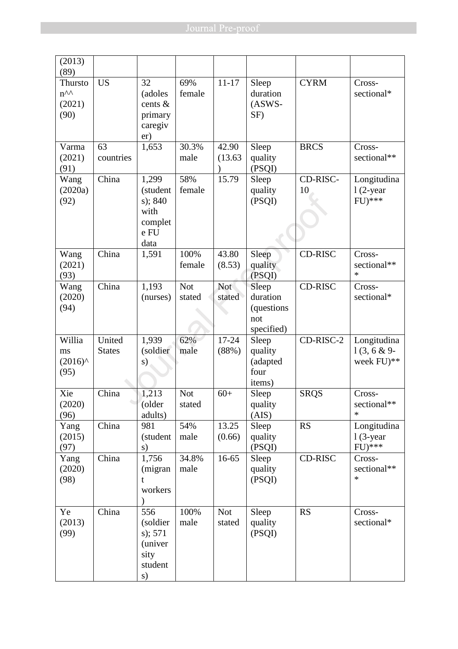| (2013)<br>(89)                             |                         |                                                                    |                      |                      |                                                      |                |                                             |
|--------------------------------------------|-------------------------|--------------------------------------------------------------------|----------------------|----------------------|------------------------------------------------------|----------------|---------------------------------------------|
| Thursto<br>$n^{\Lambda}$<br>(2021)<br>(90) | <b>US</b>               | 32<br>(adoles<br>cents &<br>primary<br>caregiv<br>er)              | 69%<br>female        | $11 - 17$            | Sleep<br>duration<br>$(ASWS -$<br>SF)                | <b>CYRM</b>    | Cross-<br>sectional*                        |
| Varma<br>(2021)<br>(91)                    | 63<br>countries         | 1,653                                                              | 30.3%<br>male        | 42.90<br>(13.63)     | Sleep<br>quality<br>(PSQI)                           | <b>BRCS</b>    | Cross-<br>sectional**                       |
| Wang<br>(2020a)<br>(92)                    | China                   | 1,299<br>(student<br>$s)$ ; 840<br>with<br>complet<br>e FU<br>data | 58%<br>female        | 15.79                | Sleep<br>quality<br>(PSQI)                           | CD-RISC-<br>10 | Longitudina<br>$1(2-year$<br>$FU$ )***      |
| Wang<br>(2021)<br>(93)                     | China                   | 1,591                                                              | 100%<br>female       | 43.80<br>(8.53)      | Sleep<br>quality<br>(PSQI)                           | <b>CD-RISC</b> | Cross-<br>sectional**<br>$\ast$             |
| Wang<br>(2020)<br>(94)                     | China                   | 1,193<br>(nurses)                                                  | <b>Not</b><br>stated | Not<br>stated        | Sleep<br>duration<br>(questions<br>not<br>specified) | <b>CD-RISC</b> | Cross-<br>sectional*                        |
| Willia<br>ms<br>$(2016)^{A}$<br>(95)       | United<br><b>States</b> | 1,939<br>(soldier<br>s)                                            | 62%<br>male          | 17-24<br>(88%)       | Sleep<br>quality<br>(adapted<br>four<br>items)       | CD-RISC-2      | Longitudina<br>$1(3, 6 & 9 -$<br>week FU)** |
| Xie<br>(2020)<br>(96)                      | China                   | 1,213<br>(older<br>adults)                                         | <b>Not</b><br>stated | $60+$                | Sleep<br>quality<br>(AIS)                            | <b>SRQS</b>    | Cross-<br>sectional**<br>$\ast$             |
| Yang<br>(2015)<br>(97)                     | China                   | 981<br>(student<br>s)                                              | 54%<br>male          | 13.25<br>(0.66)      | Sleep<br>quality<br>(PSQI)                           | <b>RS</b>      | Longitudina<br>$1(3$ -year<br>$FU$ )***     |
| Yang<br>(2020)<br>(98)                     | China                   | 1,756<br>(migran)<br>t<br>workers                                  | 34.8%<br>male        | $16-65$              | Sleep<br>quality<br>(PSQI)                           | <b>CD-RISC</b> | Cross-<br>sectional**<br>$\ast$             |
| Ye<br>(2013)<br>(99)                       | China                   | 556<br>(soldier<br>s); $571$<br>(univer<br>sity<br>student<br>s)   | 100%<br>male         | <b>Not</b><br>stated | Sleep<br>quality<br>(PSQI)                           | RS             | Cross-<br>sectional*                        |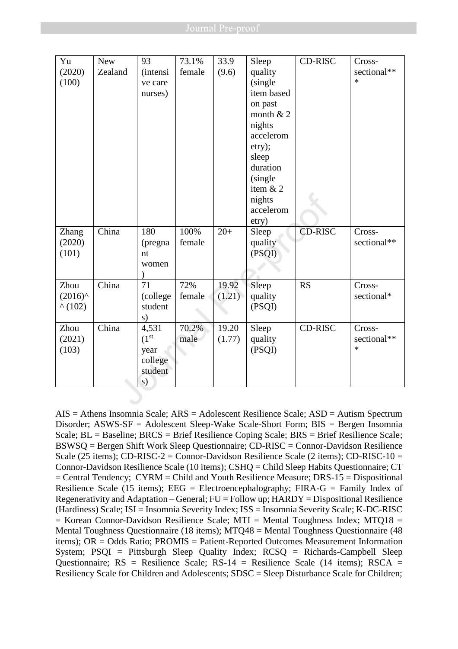| Yu           | <b>New</b> | 93                 | 73.1%  | 33.9   | Sleep            | <b>CD-RISC</b> | Cross-                |
|--------------|------------|--------------------|--------|--------|------------------|----------------|-----------------------|
| (2020)       | Zealand    | <i>(intensi</i>    | female | (9.6)  | quality          |                | sectional**           |
| (100)        |            | ve care            |        |        | (single          |                | $\ast$                |
|              |            | nurses)            |        |        | item based       |                |                       |
|              |            |                    |        |        | on past          |                |                       |
|              |            |                    |        |        | month $& 2$      |                |                       |
|              |            |                    |        |        | nights           |                |                       |
|              |            |                    |        |        | accelerom        |                |                       |
|              |            |                    |        |        | $\text{etry}$ ); |                |                       |
|              |            |                    |        |        | sleep            |                |                       |
|              |            |                    |        |        | duration         |                |                       |
|              |            |                    |        |        | (single          |                |                       |
|              |            |                    |        |        | item $& 2$       |                |                       |
|              |            |                    |        |        | nights           |                |                       |
|              |            |                    |        |        | accelerom        |                |                       |
|              |            |                    |        |        | etry)            |                |                       |
| <b>Zhang</b> | China      | 180                | 100%   | $20+$  | Sleep            | <b>CD-RISC</b> | Cross-                |
| (2020)       |            | (pregna            | female |        | quality          |                | sectional**           |
| (101)        |            | nt                 |        |        | (PSQI)           |                |                       |
|              |            | women              |        |        |                  |                |                       |
|              |            |                    |        |        |                  |                |                       |
| Zhou         | China      | 71                 | 72%    | 19.92  | Sleep            | <b>RS</b>      | Cross-                |
| $(2016)^{A}$ |            | (college           | female | (1.21) | quality          |                | sectional*            |
| (102)        |            | student            |        |        | (PSQI)           |                |                       |
|              |            | s)                 |        |        |                  |                |                       |
| Zhou         | China      | 4,531              | 70.2%  | 19.20  | Sleep            | <b>CD-RISC</b> | Cross-                |
| (2021)       |            | (1 <sup>st</sup> ) | male   | (1.77) | quality          |                | sectional**<br>$\ast$ |
| (103)        |            | year               |        |        | (PSQI)           |                |                       |
|              |            | college<br>student |        |        |                  |                |                       |
|              |            |                    |        |        |                  |                |                       |
|              |            | s)                 |        |        |                  |                |                       |
|              |            |                    |        |        |                  |                |                       |

AIS = Athens Insomnia Scale; ARS = Adolescent Resilience Scale; ASD = Autism Spectrum Disorder; ASWS-SF = Adolescent Sleep-Wake Scale-Short Form; BIS = Bergen Insomnia Scale; BL = Baseline; BRCS = Brief Resilience Coping Scale; BRS = Brief Resilience Scale; BSWSQ = Bergen Shift Work Sleep Questionnaire; CD-RISC = Connor-Davidson Resilience Scale (25 items);  $CD-RISC-2 = Connor-Davidson Resilience Scale (2 items); CD-RISC-10 =$ Connor-Davidson Resilience Scale (10 items); CSHQ = Child Sleep Habits Questionnaire; CT = Central Tendency; CYRM = Child and Youth Resilience Measure; DRS-15 = Dispositional Resilience Scale (15 items);  $EEG = Electroencephalography$ ;  $FIRA-G = Family Index of$ Regenerativity and Adaptation – General; FU = Follow up; HARDY = Dispositional Resilience (Hardiness) Scale; ISI = Insomnia Severity Index; ISS = Insomnia Severity Scale; K-DC-RISC  $=$  Korean Connor-Davidson Resilience Scale; MTI  $=$  Mental Toughness Index; MTQ18  $=$ Mental Toughness Questionnaire (18 items); MTQ48 = Mental Toughness Questionnaire (48 items); OR = Odds Ratio; PROMIS = Patient-Reported Outcomes Measurement Information System; PSQI = Pittsburgh Sleep Quality Index; RCSQ = Richards-Campbell Sleep Questionnaire;  $RS = Resilience Scale$ ;  $RS-14 = Resilience Scale$  (14 items);  $RSCA =$ Resiliency Scale for Children and Adolescents; SDSC = Sleep Disturbance Scale for Children;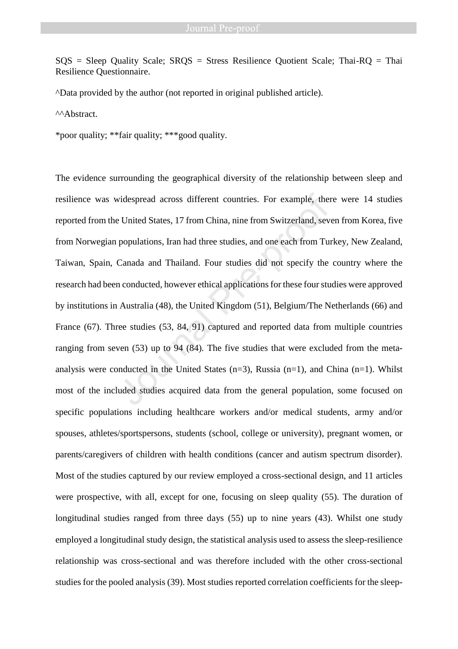SQS = Sleep Quality Scale; SRQS = Stress Resilience Quotient Scale; Thai-RQ = Thai Resilience Questionnaire.

^Data provided by the author (not reported in original published article).

^^Abstract.

\*poor quality; \*\*fair quality; \*\*\*good quality.

The evidence surrounding the geographical diversity of the relationship between sleep and resilience was widespread across different countries. For example, there were 14 studies reported from the United States, 17 from China, nine from Switzerland, seven from Korea, five from Norwegian populations, Iran had three studies, and one each from Turkey, New Zealand, Taiwan, Spain, Canada and Thailand. Four studies did not specify the country where the research had been conducted, however ethical applications for these fourstudies were approved by institutions in Australia (48), the United Kingdom (51), Belgium/The Netherlands (66) and France (67). Three studies (53, 84, 91) captured and reported data from multiple countries ranging from seven (53) up to 94 (84). The five studies that were excluded from the metaanalysis were conducted in the United States  $(n=3)$ , Russia  $(n=1)$ , and China  $(n=1)$ . Whilst most of the included studies acquired data from the general population, some focused on specific populations including healthcare workers and/or medical students, army and/or spouses, athletes/sportspersons, students (school, college or university), pregnant women, or parents/caregivers of children with health conditions (cancer and autism spectrum disorder). Most of the studies captured by our review employed a cross-sectional design, and 11 articles were prospective, with all, except for one, focusing on sleep quality (55). The duration of longitudinal studies ranged from three days (55) up to nine years (43). Whilst one study employed a longitudinal study design, the statistical analysis used to assess the sleep-resilience relationship was cross-sectional and was therefore included with the other cross-sectional studies for the pooled analysis (39). Most studies reported correlation coefficients for the sleepwidespread across different countries. For example, then<br>
be United States, 17 from China, nine from Switzerland, sev<br>
populations, Iran had three studies, and one each from Ture<br>
Canada and Thailand. Four studies did not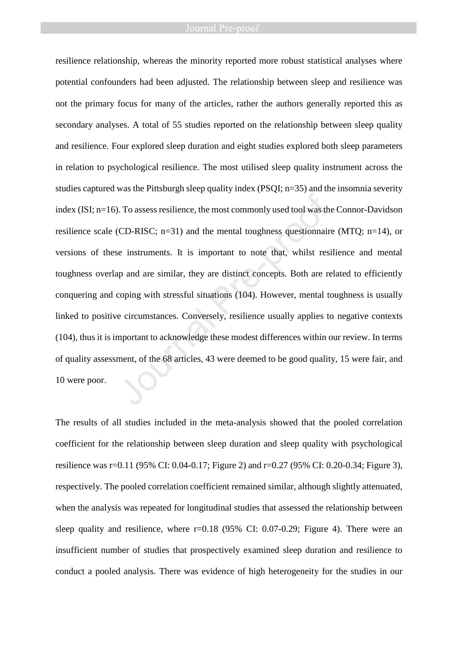### Journal Pre-proof

resilience relationship, whereas the minority reported more robust statistical analyses where potential confounders had been adjusted. The relationship between sleep and resilience was not the primary focus for many of the articles, rather the authors generally reported this as secondary analyses. A total of 55 studies reported on the relationship between sleep quality and resilience. Four explored sleep duration and eight studies explored both sleep parameters in relation to psychological resilience. The most utilised sleep quality instrument across the studies captured was the Pittsburgh sleep quality index (PSQI; n=35) and the insomnia severity index (ISI; n=16). To assess resilience, the most commonly used tool was the Connor-Davidson resilience scale (CD-RISC; n=31) and the mental toughness questionnaire (MTQ; n=14), or versions of these instruments. It is important to note that, whilst resilience and mental toughness overlap and are similar, they are distinct concepts. Both are related to efficiently conquering and coping with stressful situations (104). However, mental toughness is usually linked to positive circumstances. Conversely, resilience usually applies to negative contexts (104), thus it is important to acknowledge these modest differences within our review. In terms of quality assessment, of the 68 articles, 43 were deemed to be good quality, 15 were fair, and 10 were poor.  $(CD-RISC; n=31)$  and the mental toughness questionnair<br>(CD-RISC; n=31) and the mental toughness questionnair<br>ne instruments. It is important to note that, whilst resi-<br>np and are similar, they are distinct concepts. Both are

The results of all studies included in the meta-analysis showed that the pooled correlation coefficient for the relationship between sleep duration and sleep quality with psychological resilience was r=0.11 (95% CI: 0.04-0.17; Figure 2) and r=0.27 (95% CI: 0.20-0.34; Figure 3), respectively. The pooled correlation coefficient remained similar, although slightly attenuated, when the analysis was repeated for longitudinal studies that assessed the relationship between sleep quality and resilience, where  $r=0.18$  (95% CI: 0.07-0.29; Figure 4). There were an insufficient number of studies that prospectively examined sleep duration and resilience to conduct a pooled analysis. There was evidence of high heterogeneity for the studies in our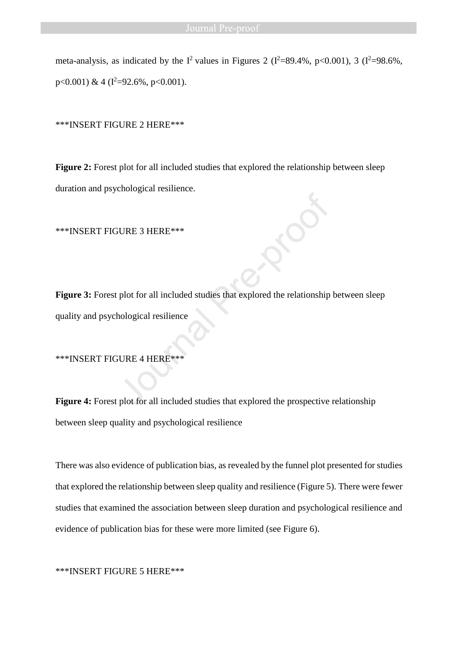meta-analysis, as indicated by the  $I^2$  values in Figures 2 ( $I^2$ =89.4%, p<0.001), 3 ( $I^2$ =98.6%,  $p<0.001$ ) & 4 ( $I^2=92.6\%$ ,  $p<0.001$ ).

# \*\*\*INSERT FIGURE 2 HERE\*\*\*

**Figure 2:** Forest plot for all included studies that explored the relationship between sleep duration and psychological resilience.

\*\*\*INSERT FIGURE 3 HERE\*\*\*

**Figure 3:** Forest plot for all included studies that explored the relationship between sleep quality and psychological resilience FURE 3 HERE\*\*\*<br>plot for all included studies that explored the relationship<br>hological resilience<br> $\text{GURE 4} \text{ HERE***}$ <br>plot for all included studies that explored the prospective

\*\*\*INSERT FIGURE 4 HERE\*\*\*

**Figure 4:** Forest plot for all included studies that explored the prospective relationship between sleep quality and psychological resilience

There was also evidence of publication bias, as revealed by the funnel plot presented for studies that explored the relationship between sleep quality and resilience (Figure 5). There were fewer studies that examined the association between sleep duration and psychological resilience and evidence of publication bias for these were more limited (see Figure 6).

\*\*\*INSERT FIGURE 5 HERE\*\*\*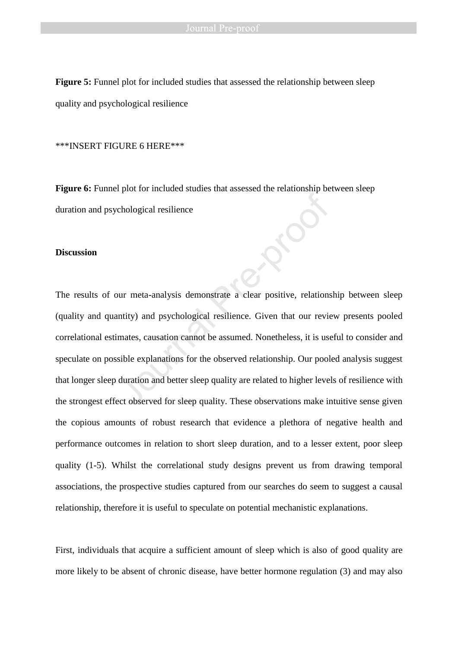**Figure 5:** Funnel plot for included studies that assessed the relationship between sleep quality and psychological resilience

### \*\*\*INSERT FIGURE 6 HERE\*\*\*

**Figure 6:** Funnel plot for included studies that assessed the relationship between sleep duration and psychological resilience

# **Discussion**

The results of our meta-analysis demonstrate a clear positive, relationship between sleep (quality and quantity) and psychological resilience. Given that our review presents pooled correlational estimates, causation cannot be assumed. Nonetheless, it is useful to consider and speculate on possible explanations for the observed relationship. Our pooled analysis suggest that longer sleep duration and better sleep quality are related to higher levels of resilience with the strongest effect observed for sleep quality. These observations make intuitive sense given the copious amounts of robust research that evidence a plethora of negative health and performance outcomes in relation to short sleep duration, and to a lesser extent, poor sleep quality (1-5). Whilst the correlational study designs prevent us from drawing temporal associations, the prospective studies captured from our searches do seem to suggest a causal relationship, therefore it is useful to speculate on potential mechanistic explanations. chological resilience<br>
Units are chological resilience and the results of the results of the results<br>
Intity) and psychological resilience. Given that our revies<br>
Inter-provided results are altered to the review of the obs

First, individuals that acquire a sufficient amount of sleep which is also of good quality are more likely to be absent of chronic disease, have better hormone regulation (3) and may also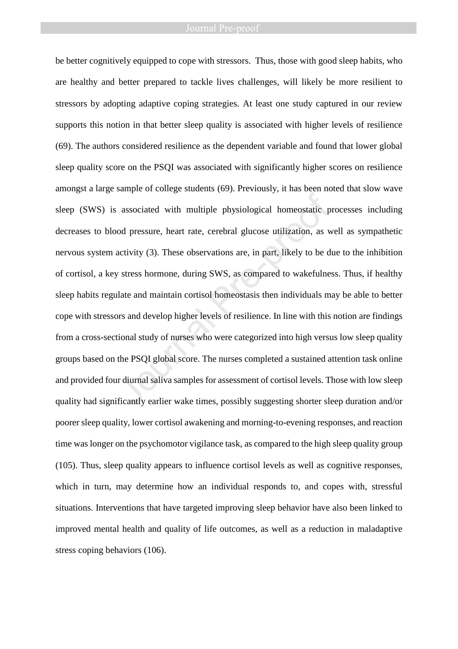be better cognitively equipped to cope with stressors. Thus, those with good sleep habits, who are healthy and better prepared to tackle lives challenges, will likely be more resilient to stressors by adopting adaptive coping strategies. At least one study captured in our review supports this notion in that better sleep quality is associated with higher levels of resilience (69). The authors considered resilience as the dependent variable and found that lower global sleep quality score on the PSQI was associated with significantly higher scores on resilience amongst a large sample of college students (69). Previously, it has been noted that slow wave sleep (SWS) is associated with multiple physiological homeostatic processes including decreases to blood pressure, heart rate, cerebral glucose utilization, as well as sympathetic nervous system activity (3). These observations are, in part, likely to be due to the inhibition of cortisol, a key stress hormone, during SWS, as compared to wakefulness. Thus, if healthy sleep habits regulate and maintain cortisol homeostasis then individuals may be able to better cope with stressors and develop higher levels of resilience. In line with this notion are findings from a cross-sectional study of nurses who were categorized into high versus low sleep quality groups based on the PSQI global score. The nurses completed a sustained attention task online and provided four diurnal saliva samples for assessment of cortisol levels. Those with low sleep quality had significantly earlier wake times, possibly suggesting shorter sleep duration and/or poorer sleep quality, lower cortisol awakening and morning-to-evening responses, and reaction time was longer on the psychomotor vigilance task, as compared to the high sleep quality group (105). Thus, sleep quality appears to influence cortisol levels as well as cognitive responses, which in turn, may determine how an individual responds to, and copes with, stressful situations. Interventions that have targeted improving sleep behavior have also been linked to improved mental health and quality of life outcomes, as well as a reduction in maladaptive stress coping behaviors (106). associated with multiple physiological homeostatic p<br>od pressure, heart rate, cerebral glucose utilization, as w<br>activity (3). These observations are, in part, likely to be d<br>v stress hormone, during SWS, as compared to wa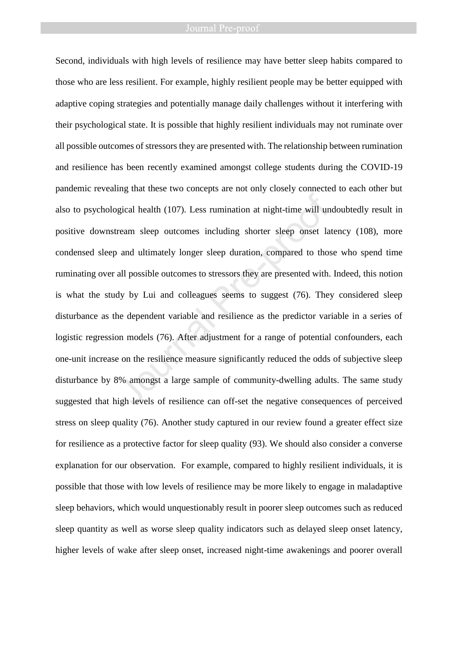Second, individuals with high levels of resilience may have better sleep habits compared to those who are less resilient. For example, highly resilient people may be better equipped with adaptive coping strategies and potentially manage daily challenges without it interfering with their psychological state. It is possible that highly resilient individuals may not ruminate over all possible outcomes of stressors they are presented with. The relationship between rumination and resilience has been recently examined amongst college students during the COVID-19 pandemic revealing that these two concepts are not only closely connected to each other but also to psychological health (107). Less rumination at night-time will undoubtedly result in positive downstream sleep outcomes including shorter sleep onset latency (108), more condensed sleep and ultimately longer sleep duration, compared to those who spend time ruminating over all possible outcomes to stressors they are presented with. Indeed, this notion is what the study by Lui and colleagues seems to suggest (76). They considered sleep disturbance as the dependent variable and resilience as the predictor variable in a series of logistic regression models (76). After adjustment for a range of potential confounders, each one-unit increase on the resilience measure significantly reduced the odds of subjective sleep disturbance by 8% amongst a large sample of community-dwelling adults. The same study suggested that high levels of resilience can off-set the negative consequences of perceived stress on sleep quality (76). Another study captured in our review found a greater effect size for resilience as a protective factor for sleep quality (93). We should also consider a converse explanation for our observation. For example, compared to highly resilient individuals, it is possible that those with low levels of resilience may be more likely to engage in maladaptive sleep behaviors, which would unquestionably result in poorer sleep outcomes such as reduced sleep quantity as well as worse sleep quality indicators such as delayed sleep onset latency, higher levels of wake after sleep onset, increased night-time awakenings and poorer overall gical health (107). Less rumination at night-time will un<br>ream sleep outcomes including shorter sleep onset la<br>and ultimately longer sleep duration, compared to thos<br>all possible outcomes to stressors they are presented wi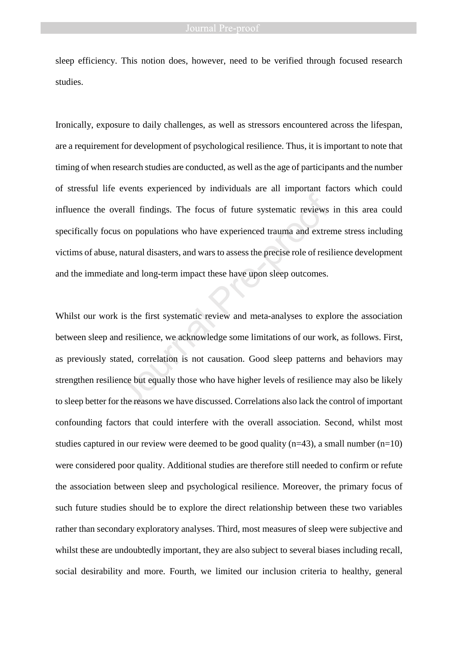### Journal Pre-proof

sleep efficiency. This notion does, however, need to be verified through focused research studies.

Ironically, exposure to daily challenges, as well as stressors encountered across the lifespan, are a requirement for development of psychological resilience. Thus, it is important to note that timing of when research studies are conducted, as well as the age of participants and the number of stressful life events experienced by individuals are all important factors which could influence the overall findings. The focus of future systematic reviews in this area could specifically focus on populations who have experienced trauma and extreme stress including victims of abuse, natural disasters, and wars to assess the precise role of resilience development and the immediate and long-term impact these have upon sleep outcomes.

Whilst our work is the first systematic review and meta-analyses to explore the association between sleep and resilience, we acknowledge some limitations of our work, as follows. First, as previously stated, correlation is not causation. Good sleep patterns and behaviors may strengthen resilience but equally those who have higher levels of resilience may also be likely to sleep better for the reasons we have discussed. Correlations also lack the control of important confounding factors that could interfere with the overall association. Second, whilst most studies captured in our review were deemed to be good quality  $(n=43)$ , a small number  $(n=10)$ were considered poor quality. Additional studies are therefore still needed to confirm or refute the association between sleep and psychological resilience. Moreover, the primary focus of such future studies should be to explore the direct relationship between these two variables rather than secondary exploratory analyses. Third, most measures of sleep were subjective and whilst these are undoubtedly important, they are also subject to several biases including recall, social desirability and more. Fourth, we limited our inclusion criteria to healthy, general Findings. The focus of future systematic reviews<br>s on populations who have experienced trauma and extre-<br>natural disasters, and wars to assess the precise role of resi<br>te and long-term impact these have upon sleep outcomes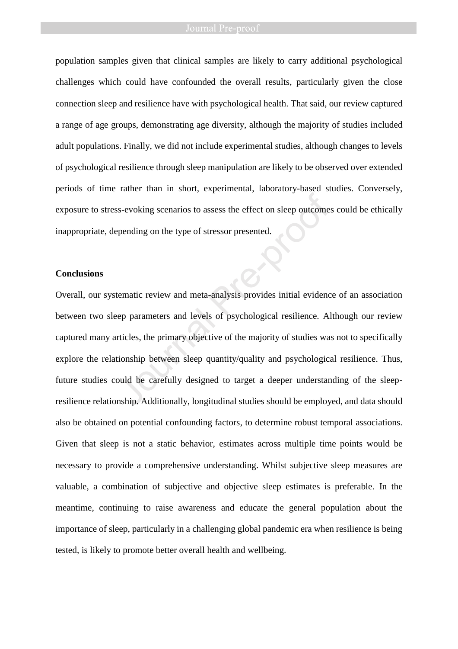### Journal Pre-proof

population samples given that clinical samples are likely to carry additional psychological challenges which could have confounded the overall results, particularly given the close connection sleep and resilience have with psychological health. That said, our review captured a range of age groups, demonstrating age diversity, although the majority of studies included adult populations. Finally, we did not include experimental studies, although changes to levels of psychological resilience through sleep manipulation are likely to be observed over extended periods of time rather than in short, experimental, laboratory-based studies. Conversely, exposure to stress-evoking scenarios to assess the effect on sleep outcomes could be ethically inappropriate, depending on the type of stressor presented.

# **Conclusions**

Overall, our systematic review and meta-analysis provides initial evidence of an association between two sleep parameters and levels of psychological resilience. Although our review captured many articles, the primary objective of the majority of studies was not to specifically explore the relationship between sleep quantity/quality and psychological resilience. Thus, future studies could be carefully designed to target a deeper understanding of the sleepresilience relationship. Additionally, longitudinal studies should be employed, and data should also be obtained on potential confounding factors, to determine robust temporal associations. Given that sleep is not a static behavior, estimates across multiple time points would be necessary to provide a comprehensive understanding. Whilst subjective sleep measures are valuable, a combination of subjective and objective sleep estimates is preferable. In the meantime, continuing to raise awareness and educate the general population about the importance of sleep, particularly in a challenging global pandemic era when resilience is being tested, is likely to promote better overall health and wellbeing. Solven also assess the effect on sleep outcomes<br>termatic provides in the type of stressor presented.<br>The absolvent of stressor presented.<br>The termatic review and meta-analysis provides initial evidence<br>the parameters and l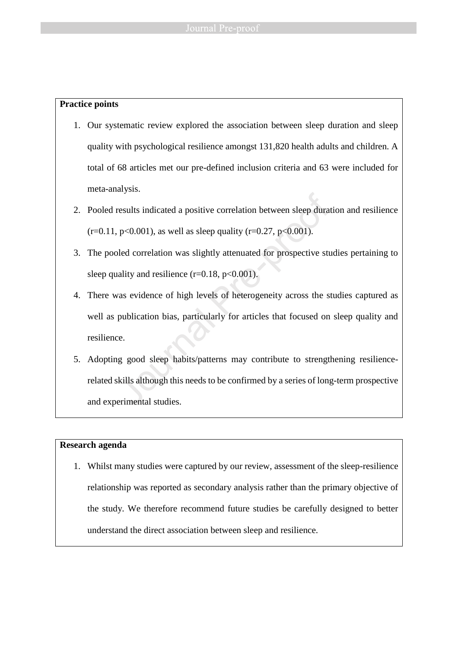# **Practice points**

- 1. Our systematic review explored the association between sleep duration and sleep quality with psychological resilience amongst 131,820 health adults and children. A total of 68 articles met our pre-defined inclusion criteria and 63 were included for meta-analysis.
- 2. Pooled results indicated a positive correlation between sleep duration and resilience  $(r=0.11, p<0.001)$ , as well as sleep quality  $(r=0.27, p<0.001)$ .
- 3. The pooled correlation was slightly attenuated for prospective studies pertaining to sleep quality and resilience  $(r=0.18, p<0.001)$ .
- 4. There was evidence of high levels of heterogeneity across the studies captured as well as publication bias, particularly for articles that focused on sleep quality and resilience.
- 5. Adopting good sleep habits/patterns may contribute to strengthening resiliencerelated skills although this needs to be confirmed by a series of long-term prospective and experimental studies. results indicated a positive correlation between sleep durat  $p<0.001$ ), as well as sleep quality (r=0.27,  $p<0.001$ ).<br>
bled correlation was slightly attenuated for prospective stuality and resilience (r=0.18,  $p<0.001$ ).

# **Research agenda**

1. Whilst many studies were captured by our review, assessment of the sleep-resilience relationship was reported as secondary analysis rather than the primary objective of the study. We therefore recommend future studies be carefully designed to better understand the direct association between sleep and resilience.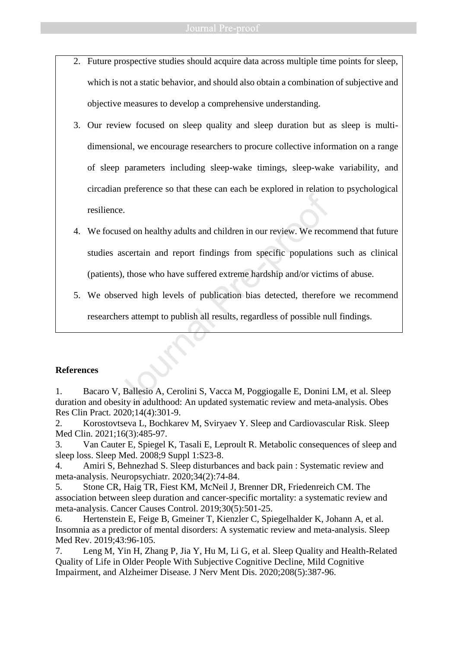- 2. Future prospective studies should acquire data across multiple time points for sleep, which is not a static behavior, and should also obtain a combination of subjective and objective measures to develop a comprehensive understanding.
- 3. Our review focused on sleep quality and sleep duration but as sleep is multidimensional, we encourage researchers to procure collective information on a range of sleep parameters including sleep-wake timings, sleep-wake variability, and circadian preference so that these can each be explored in relation to psychological resilience.
- 4. We focused on healthy adults and children in our review. We recommend that future studies ascertain and report findings from specific populations such as clinical (patients), those who have suffered extreme hardship and/or victims of abuse. Theorem and report findings from specific populations<br>ascertain and report findings from specific populations<br>s), those who have suffered extreme hardship and/or victin<br>erved high levels of publication bias detected, there
- 5. We observed high levels of publication bias detected, therefore we recommend researchers attempt to publish all results, regardless of possible null findings.

# **References**

1. Bacaro V, Ballesio A, Cerolini S, Vacca M, Poggiogalle E, Donini LM, et al. Sleep duration and obesity in adulthood: An updated systematic review and meta-analysis. Obes Res Clin Pract. 2020;14(4):301-9.

2. Korostovtseva L, Bochkarev M, Sviryaev Y. Sleep and Cardiovascular Risk. Sleep Med Clin. 2021;16(3):485-97.

3. Van Cauter E, Spiegel K, Tasali E, Leproult R. Metabolic consequences of sleep and sleep loss. Sleep Med. 2008;9 Suppl 1:S23-8.

4. Amiri S, Behnezhad S. Sleep disturbances and back pain : Systematic review and meta-analysis. Neuropsychiatr. 2020;34(2):74-84.

5. Stone CR, Haig TR, Fiest KM, McNeil J, Brenner DR, Friedenreich CM. The association between sleep duration and cancer-specific mortality: a systematic review and meta-analysis. Cancer Causes Control. 2019;30(5):501-25.

6. Hertenstein E, Feige B, Gmeiner T, Kienzler C, Spiegelhalder K, Johann A, et al. Insomnia as a predictor of mental disorders: A systematic review and meta-analysis. Sleep Med Rev. 2019;43:96-105.

7. Leng M, Yin H, Zhang P, Jia Y, Hu M, Li G, et al. Sleep Quality and Health-Related Quality of Life in Older People With Subjective Cognitive Decline, Mild Cognitive Impairment, and Alzheimer Disease. J Nerv Ment Dis. 2020;208(5):387-96.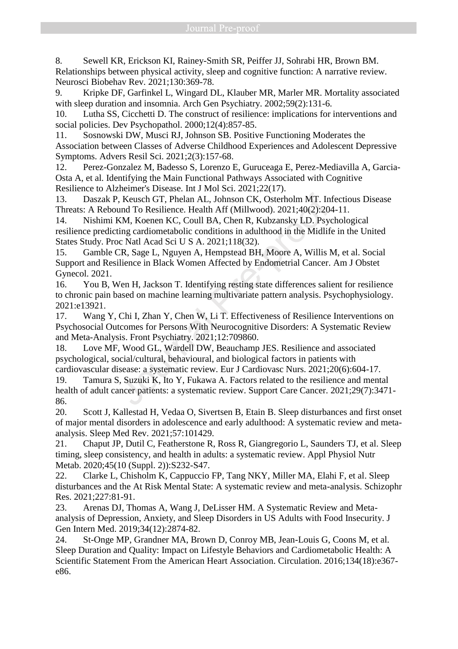8. Sewell KR, Erickson KI, Rainey-Smith SR, Peiffer JJ, Sohrabi HR, Brown BM. Relationships between physical activity, sleep and cognitive function: A narrative review. Neurosci Biobehav Rev. 2021;130:369-78.

9. Kripke DF, Garfinkel L, Wingard DL, Klauber MR, Marler MR. Mortality associated with sleep duration and insomnia. Arch Gen Psychiatry. 2002;59(2):131-6.

10. Lutha SS, Cicchetti D. The construct of resilience: implications for interventions and social policies. Dev Psychopathol. 2000;12(4):857-85.

11. Sosnowski DW, Musci RJ, Johnson SB. Positive Functioning Moderates the Association between Classes of Adverse Childhood Experiences and Adolescent Depressive Symptoms. Advers Resil Sci. 2021;2(3):157-68.

12. Perez-Gonzalez M, Badesso S, Lorenzo E, Guruceaga E, Perez-Mediavilla A, Garcia-Osta A, et al. Identifying the Main Functional Pathways Associated with Cognitive Resilience to Alzheimer's Disease. Int J Mol Sci. 2021;22(17).

13. Daszak P, Keusch GT, Phelan AL, Johnson CK, Osterholm MT. Infectious Disease Threats: A Rebound To Resilience. Health Aff (Millwood). 2021;40(2):204-11.

14. Nishimi KM, Koenen KC, Coull BA, Chen R, Kubzansky LD. Psychological resilience predicting cardiometabolic conditions in adulthood in the Midlife in the United States Study. Proc Natl Acad Sci U S A. 2021;118(32).

15. Gamble CR, Sage L, Nguyen A, Hempstead BH, Moore A, Willis M, et al. Social Support and Resilience in Black Women Affected by Endometrial Cancer. Am J Obstet Gynecol. 2021.

16. You B, Wen H, Jackson T. Identifying resting state differences salient for resilience to chronic pain based on machine learning multivariate pattern analysis. Psychophysiology. 2021:e13921.

17. Wang Y, Chi I, Zhan Y, Chen W, Li T. Effectiveness of Resilience Interventions on Psychosocial Outcomes for Persons With Neurocognitive Disorders: A Systematic Review and Meta-Analysis. Front Psychiatry. 2021;12:709860.

18. Love MF, Wood GL, Wardell DW, Beauchamp JES. Resilience and associated psychological, social/cultural, behavioural, and biological factors in patients with cardiovascular disease: a systematic review. Eur J Cardiovasc Nurs. 2021;20(6):604-17. President Content CK, Osterholm MT. In<br>
und To Resilience. Health Aff (Millwood). 2021;40(2):20:<br>
KM, Koenen KC, Coull BA, Chen R, Kubzansky LD. Psy<br>
ting cardiometabolic conditions in adulthood in the Midlif<br>
cc Natl Acad

19. Tamura S, Suzuki K, Ito Y, Fukawa A. Factors related to the resilience and mental health of adult cancer patients: a systematic review. Support Care Cancer. 2021;29(7):3471- 86.

20. Scott J, Kallestad H, Vedaa O, Sivertsen B, Etain B. Sleep disturbances and first onset of major mental disorders in adolescence and early adulthood: A systematic review and metaanalysis. Sleep Med Rev. 2021;57:101429.

21. Chaput JP, Dutil C, Featherstone R, Ross R, Giangregorio L, Saunders TJ, et al. Sleep timing, sleep consistency, and health in adults: a systematic review. Appl Physiol Nutr Metab. 2020;45(10 (Suppl. 2)):S232-S47.

22. Clarke L, Chisholm K, Cappuccio FP, Tang NKY, Miller MA, Elahi F, et al. Sleep disturbances and the At Risk Mental State: A systematic review and meta-analysis. Schizophr Res. 2021;227:81-91.

23. Arenas DJ, Thomas A, Wang J, DeLisser HM. A Systematic Review and Metaanalysis of Depression, Anxiety, and Sleep Disorders in US Adults with Food Insecurity. J Gen Intern Med. 2019;34(12):2874-82.

24. St-Onge MP, Grandner MA, Brown D, Conroy MB, Jean-Louis G, Coons M, et al. Sleep Duration and Quality: Impact on Lifestyle Behaviors and Cardiometabolic Health: A Scientific Statement From the American Heart Association. Circulation. 2016;134(18):e367 e86.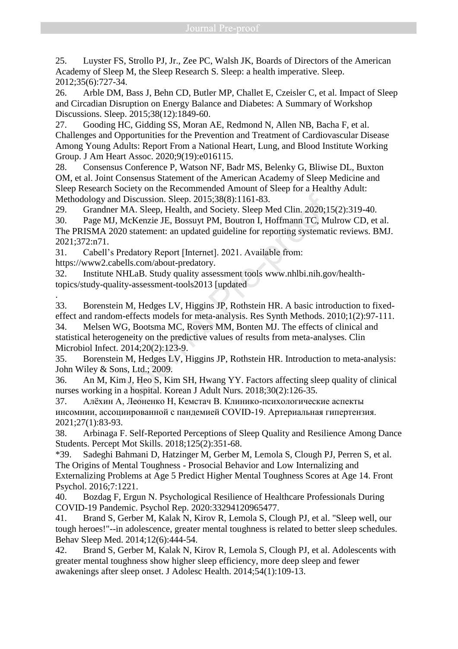25. Luyster FS, Strollo PJ, Jr., Zee PC, Walsh JK, Boards of Directors of the American Academy of Sleep M, the Sleep Research S. Sleep: a health imperative. Sleep. 2012;35(6):727-34.

26. Arble DM, Bass J, Behn CD, Butler MP, Challet E, Czeisler C, et al. Impact of Sleep and Circadian Disruption on Energy Balance and Diabetes: A Summary of Workshop Discussions. Sleep. 2015;38(12):1849-60.

27. Gooding HC, Gidding SS, Moran AE, Redmond N, Allen NB, Bacha F, et al. Challenges and Opportunities for the Prevention and Treatment of Cardiovascular Disease Among Young Adults: Report From a National Heart, Lung, and Blood Institute Working Group. J Am Heart Assoc. 2020;9(19):e016115.

28. Consensus Conference P, Watson NF, Badr MS, Belenky G, Bliwise DL, Buxton OM, et al. Joint Consensus Statement of the American Academy of Sleep Medicine and Sleep Research Society on the Recommended Amount of Sleep for a Healthy Adult: Methodology and Discussion. Sleep. 2015;38(8):1161-83.

29. Grandner MA. Sleep, Health, and Society. Sleep Med Clin. 2020;15(2):319-40. 30. Page MJ, McKenzie JE, Bossuyt PM, Boutron I, Hoffmann TC, Mulrow CD, et al. The PRISMA 2020 statement: an updated guideline for reporting systematic reviews. BMJ. 2021;372:n71. d Discussion. Sleep. 2015;38(8):1161-83.<br>
MA. Sleep, Health, and Society. Sleep Med Clin. 2020;1.<br>
MCKenzie JE, Bossuyt PM, Boutron I, Hoffmann TC, M<br>
20 statement: an updated guideline for reporting systemat<br>
Predatory Re

31. Cabell's Predatory Report [Internet]. 2021. Available from: https://www2.cabells.com/about-predatory.

32. Institute NHLaB. Study quality assessment tools www.nhlbi.nih.gov/healthtopics/study-quality-assessment-tools2013 [updated

. 33. Borenstein M, Hedges LV, Higgins JP, Rothstein HR. A basic introduction to fixedeffect and random-effects models for meta-analysis. Res Synth Methods. 2010;1(2):97-111.

34. Melsen WG, Bootsma MC, Rovers MM, Bonten MJ. The effects of clinical and statistical heterogeneity on the predictive values of results from meta-analyses. Clin Microbiol Infect. 2014;20(2):123-9.

35. Borenstein M, Hedges LV, Higgins JP, Rothstein HR. Introduction to meta-analysis: John Wiley & Sons, Ltd.; 2009.

36. An M, Kim J, Heo S, Kim SH, Hwang YY. Factors affecting sleep quality of clinical nurses working in a hospital. Korean J Adult Nurs. 2018;30(2):126-35.

37. Алёхин А, Леоненко Н, Кемстач В. Клинико-психологические аспекты инсомнии, ассоциированной с пандемией COVID-19. Артериальная гипертензия. 2021;27(1):83-93.

38. Arbinaga F. Self-Reported Perceptions of Sleep Quality and Resilience Among Dance Students. Percept Mot Skills. 2018;125(2):351-68.

\*39. Sadeghi Bahmani D, Hatzinger M, Gerber M, Lemola S, Clough PJ, Perren S, et al. The Origins of Mental Toughness - Prosocial Behavior and Low Internalizing and Externalizing Problems at Age 5 Predict Higher Mental Toughness Scores at Age 14. Front Psychol. 2016;7:1221.

40. Bozdag F, Ergun N. Psychological Resilience of Healthcare Professionals During COVID-19 Pandemic. Psychol Rep. 2020:33294120965477.

41. Brand S, Gerber M, Kalak N, Kirov R, Lemola S, Clough PJ, et al. "Sleep well, our tough heroes!"--in adolescence, greater mental toughness is related to better sleep schedules. Behav Sleep Med. 2014;12(6):444-54.

42. Brand S, Gerber M, Kalak N, Kirov R, Lemola S, Clough PJ, et al. Adolescents with greater mental toughness show higher sleep efficiency, more deep sleep and fewer awakenings after sleep onset. J Adolesc Health. 2014;54(1):109-13.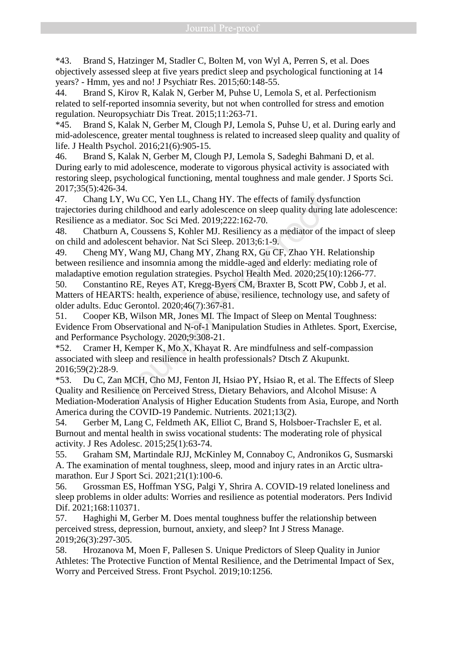\*43. Brand S, Hatzinger M, Stadler C, Bolten M, von Wyl A, Perren S, et al. Does objectively assessed sleep at five years predict sleep and psychological functioning at 14 years? - Hmm, yes and no! J Psychiatr Res. 2015;60:148-55.

44. Brand S, Kirov R, Kalak N, Gerber M, Puhse U, Lemola S, et al. Perfectionism related to self-reported insomnia severity, but not when controlled for stress and emotion regulation. Neuropsychiatr Dis Treat. 2015;11:263-71.

\*45. Brand S, Kalak N, Gerber M, Clough PJ, Lemola S, Puhse U, et al. During early and mid-adolescence, greater mental toughness is related to increased sleep quality and quality of life. J Health Psychol. 2016;21(6):905-15.

46. Brand S, Kalak N, Gerber M, Clough PJ, Lemola S, Sadeghi Bahmani D, et al. During early to mid adolescence, moderate to vigorous physical activity is associated with restoring sleep, psychological functioning, mental toughness and male gender. J Sports Sci. 2017;35(5):426-34.

47. Chang LY, Wu CC, Yen LL, Chang HY. The effects of family dysfunction trajectories during childhood and early adolescence on sleep quality during late adolescence: Resilience as a mediator. Soc Sci Med. 2019;222:162-70.

48. Chatburn A, Coussens S, Kohler MJ. Resiliency as a mediator of the impact of sleep on child and adolescent behavior. Nat Sci Sleep. 2013;6:1-9.

49. Cheng MY, Wang MJ, Chang MY, Zhang RX, Gu CF, Zhao YH. Relationship between resilience and insomnia among the middle-aged and elderly: mediating role of maladaptive emotion regulation strategies. Psychol Health Med. 2020;25(10):1266-77. Y, Wu CC, Yen LL, Chang HY. The effects of family dyst<br>g childhood and early adolescence on sleep quality during<br>nediator. Soc Sci Med. 2019;222:162-70.<br>A, Coussens S, Kohler MJ. Resiliency as a mediator of th<br>lescent beha

50. Constantino RE, Reyes AT, Kregg-Byers CM, Braxter B, Scott PW, Cobb J, et al. Matters of HEARTS: health, experience of abuse, resilience, technology use, and safety of older adults. Educ Gerontol. 2020;46(7):367-81.

51. Cooper KB, Wilson MR, Jones MI. The Impact of Sleep on Mental Toughness: Evidence From Observational and N-of-1 Manipulation Studies in Athletes. Sport, Exercise, and Performance Psychology. 2020;9:308-21.

\*52. Cramer H, Kemper K, Mo X, Khayat R. Are mindfulness and self-compassion associated with sleep and resilience in health professionals? Dtsch Z Akupunkt. 2016;59(2):28-9.

\*53. Du C, Zan MCH, Cho MJ, Fenton JI, Hsiao PY, Hsiao R, et al. The Effects of Sleep Quality and Resilience on Perceived Stress, Dietary Behaviors, and Alcohol Misuse: A Mediation-Moderation Analysis of Higher Education Students from Asia, Europe, and North America during the COVID-19 Pandemic. Nutrients. 2021;13(2).

54. Gerber M, Lang C, Feldmeth AK, Elliot C, Brand S, Holsboer-Trachsler E, et al. Burnout and mental health in swiss vocational students: The moderating role of physical activity. J Res Adolesc. 2015;25(1):63-74.

55. Graham SM, Martindale RJJ, McKinley M, Connaboy C, Andronikos G, Susmarski A. The examination of mental toughness, sleep, mood and injury rates in an Arctic ultramarathon. Eur J Sport Sci. 2021;21(1):100-6.

56. Grossman ES, Hoffman YSG, Palgi Y, Shrira A. COVID-19 related loneliness and sleep problems in older adults: Worries and resilience as potential moderators. Pers Individ Dif. 2021;168:110371.

57. Haghighi M, Gerber M. Does mental toughness buffer the relationship between perceived stress, depression, burnout, anxiety, and sleep? Int J Stress Manage. 2019;26(3):297-305.

58. Hrozanova M, Moen F, Pallesen S. Unique Predictors of Sleep Quality in Junior Athletes: The Protective Function of Mental Resilience, and the Detrimental Impact of Sex, Worry and Perceived Stress. Front Psychol. 2019;10:1256.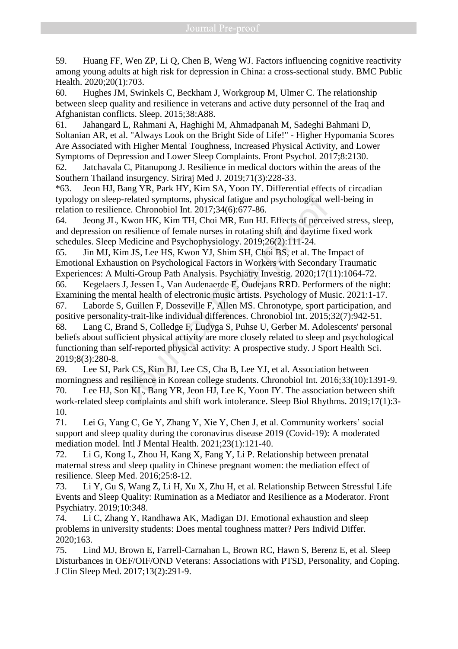59. Huang FF, Wen ZP, Li Q, Chen B, Weng WJ. Factors influencing cognitive reactivity among young adults at high risk for depression in China: a cross-sectional study. BMC Public Health. 2020;20(1):703.

60. Hughes JM, Swinkels C, Beckham J, Workgroup M, Ulmer C. The relationship between sleep quality and resilience in veterans and active duty personnel of the Iraq and Afghanistan conflicts. Sleep. 2015;38:A88.

61. Jahangard L, Rahmani A, Haghighi M, Ahmadpanah M, Sadeghi Bahmani D, Soltanian AR, et al. "Always Look on the Bright Side of Life!" - Higher Hypomania Scores Are Associated with Higher Mental Toughness, Increased Physical Activity, and Lower Symptoms of Depression and Lower Sleep Complaints. Front Psychol. 2017;8:2130.

62. Jatchavala C, Pitanupong J. Resilience in medical doctors within the areas of the Southern Thailand insurgency. Siriraj Med J. 2019;71(3):228-33.

\*63. Jeon HJ, Bang YR, Park HY, Kim SA, Yoon IY. Differential effects of circadian typology on sleep-related symptoms, physical fatigue and psychological well-being in relation to resilience. Chronobiol Int. 2017;34(6):677-86.

64. Jeong JL, Kwon HK, Kim TH, Choi MR, Eun HJ. Effects of perceived stress, sleep, and depression on resilience of female nurses in rotating shift and daytime fixed work schedules. Sleep Medicine and Psychophysiology. 2019;26(2):111-24.

65. Jin MJ, Kim JS, Lee HS, Kwon YJ, Shim SH, Choi BS, et al. The Impact of Emotional Exhaustion on Psychological Factors in Workers with Secondary Traumatic Experiences: A Multi-Group Path Analysis. Psychiatry Investig. 2020;17(11):1064-72.

66. Kegelaers J, Jessen L, Van Audenaerde E, Oudejans RRD. Performers of the night: Examining the mental health of electronic music artists. Psychology of Music. 2021:1-17.

67. Laborde S, Guillen F, Dosseville F, Allen MS. Chronotype, sport participation, and positive personality-trait-like individual differences. Chronobiol Int. 2015;32(7):942-51.

68. Lang C, Brand S, Colledge F, Ludyga S, Puhse U, Gerber M. Adolescents' personal beliefs about sufficient physical activity are more closely related to sleep and psychological functioning than self-reported physical activity: A prospective study. J Sport Health Sci. 2019;8(3):280-8.

69. Lee SJ, Park CS, Kim BJ, Lee CS, Cha B, Lee YJ, et al. Association between morningness and resilience in Korean college students. Chronobiol Int. 2016;33(10):1391-9. 70. Lee HJ, Son KL, Bang YR, Jeon HJ, Lee K, Yoon IY. The association between shift work-related sleep complaints and shift work intolerance. Sleep Biol Rhythms. 2019;17(1):3- 10. p-related symptoms, physical fatigue and psychological w<br>nce. Chronobiol Int. 2017;34(6):677-86.<br>Kwon HK, Kim TH, Choi MR, Eun HJ. Effects of percei<br>n resilience of female nurses in rotating shift and daytime<br>Medicine and

71. Lei G, Yang C, Ge Y, Zhang Y, Xie Y, Chen J, et al. Community workers' social support and sleep quality during the coronavirus disease 2019 (Covid-19): A moderated mediation model. Intl J Mental Health. 2021;23(1):121-40.

72. Li G, Kong L, Zhou H, Kang X, Fang Y, Li P. Relationship between prenatal maternal stress and sleep quality in Chinese pregnant women: the mediation effect of resilience. Sleep Med. 2016;25:8-12.

73. Li Y, Gu S, Wang Z, Li H, Xu X, Zhu H, et al. Relationship Between Stressful Life Events and Sleep Quality: Rumination as a Mediator and Resilience as a Moderator. Front Psychiatry. 2019;10:348.

74. Li C, Zhang Y, Randhawa AK, Madigan DJ. Emotional exhaustion and sleep problems in university students: Does mental toughness matter? Pers Individ Differ. 2020;163.

75. Lind MJ, Brown E, Farrell-Carnahan L, Brown RC, Hawn S, Berenz E, et al. Sleep Disturbances in OEF/OIF/OND Veterans: Associations with PTSD, Personality, and Coping. J Clin Sleep Med. 2017;13(2):291-9.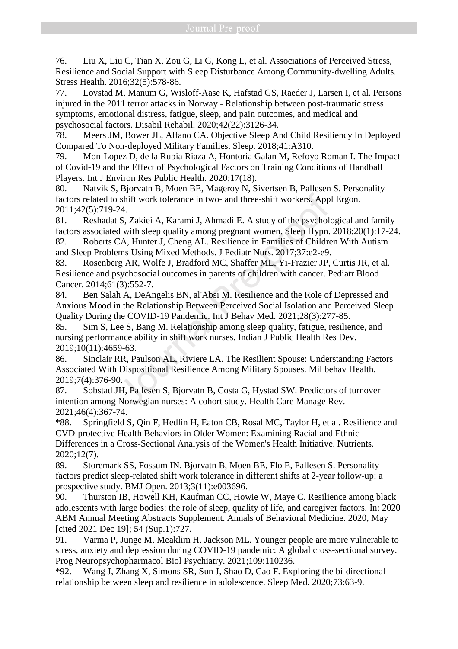76. Liu X, Liu C, Tian X, Zou G, Li G, Kong L, et al. Associations of Perceived Stress, Resilience and Social Support with Sleep Disturbance Among Community-dwelling Adults. Stress Health. 2016;32(5):578-86.

77. Lovstad M, Manum G, Wisloff-Aase K, Hafstad GS, Raeder J, Larsen I, et al. Persons injured in the 2011 terror attacks in Norway - Relationship between post-traumatic stress symptoms, emotional distress, fatigue, sleep, and pain outcomes, and medical and psychosocial factors. Disabil Rehabil. 2020;42(22):3126-34.

78. Meers JM, Bower JL, Alfano CA. Objective Sleep And Child Resiliency In Deployed Compared To Non-deployed Military Families. Sleep. 2018;41:A310.

79. Mon-Lopez D, de la Rubia Riaza A, Hontoria Galan M, Refoyo Roman I. The Impact of Covid-19 and the Effect of Psychological Factors on Training Conditions of Handball Players. Int J Environ Res Public Health. 2020;17(18).

80. Natvik S, Bjorvatn B, Moen BE, Mageroy N, Sivertsen B, Pallesen S. Personality factors related to shift work tolerance in two- and three-shift workers. Appl Ergon. 2011;42(5):719-24.

81. Reshadat S, Zakiei A, Karami J, Ahmadi E. A study of the psychological and family factors associated with sleep quality among pregnant women. Sleep Hypn. 2018;20(1):17-24. 82. Roberts CA, Hunter J, Cheng AL. Resilience in Families of Children With Autism shift work tolerance in two- and three-shift workers. App<br>24.<br>S, Zakiei A, Karami J, Ahmadi E. A study of the psycholo<br>d with sleep quality among pregnant women. Sleep Hypn.<br>CA, Hunter J, Cheng AL. Resilience in Families o

and Sleep Problems Using Mixed Methods. J Pediatr Nurs. 2017;37:e2-e9.

83. Rosenberg AR, Wolfe J, Bradford MC, Shaffer ML, Yi-Frazier JP, Curtis JR, et al. Resilience and psychosocial outcomes in parents of children with cancer. Pediatr Blood Cancer. 2014;61(3):552-7.

84. Ben Salah A, DeAngelis BN, al'Absi M. Resilience and the Role of Depressed and Anxious Mood in the Relationship Between Perceived Social Isolation and Perceived Sleep Quality During the COVID-19 Pandemic. Int J Behav Med. 2021;28(3):277-85.

85. Sim S, Lee S, Bang M. Relationship among sleep quality, fatigue, resilience, and nursing performance ability in shift work nurses. Indian J Public Health Res Dev. 2019;10(11):4659-63.

86. Sinclair RR, Paulson AL, Riviere LA. The Resilient Spouse: Understanding Factors Associated With Dispositional Resilience Among Military Spouses. Mil behav Health. 2019;7(4):376-90.

87. Sobstad JH, Pallesen S, Bjorvatn B, Costa G, Hystad SW. Predictors of turnover intention among Norwegian nurses: A cohort study. Health Care Manage Rev. 2021;46(4):367-74.

\*88. Springfield S, Qin F, Hedlin H, Eaton CB, Rosal MC, Taylor H, et al. Resilience and CVD-protective Health Behaviors in Older Women: Examining Racial and Ethnic Differences in a Cross-Sectional Analysis of the Women's Health Initiative. Nutrients. 2020;12(7).

89. Storemark SS, Fossum IN, Bjorvatn B, Moen BE, Flo E, Pallesen S. Personality factors predict sleep-related shift work tolerance in different shifts at 2-year follow-up: a prospective study. BMJ Open. 2013;3(11):e003696.

90. Thurston IB, Howell KH, Kaufman CC, Howie W, Maye C. Resilience among black adolescents with large bodies: the role of sleep, quality of life, and caregiver factors. In: 2020 ABM Annual Meeting Abstracts Supplement. Annals of Behavioral Medicine. 2020, May [cited 2021 Dec 19]; 54 (Sup.1):727.

91. Varma P, Junge M, Meaklim H, Jackson ML. Younger people are more vulnerable to stress, anxiety and depression during COVID-19 pandemic: A global cross-sectional survey. Prog Neuropsychopharmacol Biol Psychiatry. 2021;109:110236.

\*92. Wang J, Zhang X, Simons SR, Sun J, Shao D, Cao F. Exploring the bi-directional relationship between sleep and resilience in adolescence. Sleep Med. 2020;73:63-9.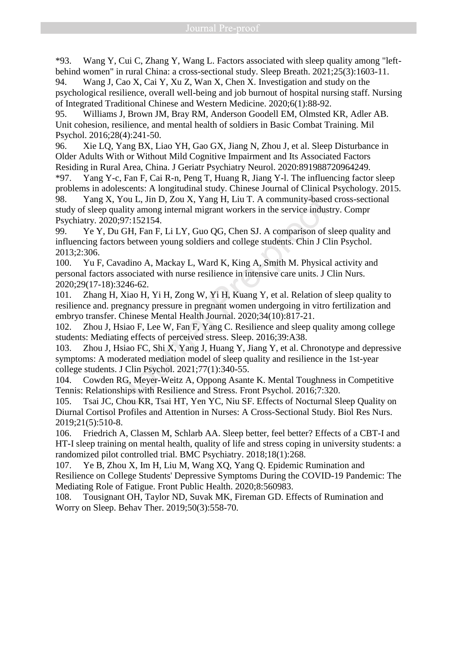\*93. Wang Y, Cui C, Zhang Y, Wang L. Factors associated with sleep quality among "leftbehind women" in rural China: a cross-sectional study. Sleep Breath. 2021;25(3):1603-11.

94. Wang J, Cao X, Cai Y, Xu Z, Wan X, Chen X. Investigation and study on the psychological resilience, overall well-being and job burnout of hospital nursing staff. Nursing of Integrated Traditional Chinese and Western Medicine. 2020;6(1):88-92.

95. Williams J, Brown JM, Bray RM, Anderson Goodell EM, Olmsted KR, Adler AB. Unit cohesion, resilience, and mental health of soldiers in Basic Combat Training. Mil Psychol. 2016;28(4):241-50.

96. Xie LQ, Yang BX, Liao YH, Gao GX, Jiang N, Zhou J, et al. Sleep Disturbance in Older Adults With or Without Mild Cognitive Impairment and Its Associated Factors Residing in Rural Area, China. J Geriatr Psychiatry Neurol. 2020:891988720964249.

\*97. Yang Y-c, Fan F, Cai R-n, Peng T, Huang R, Jiang Y-l. The influencing factor sleep problems in adolescents: A longitudinal study. Chinese Journal of Clinical Psychology. 2015.

98. Yang X, You L, Jin D, Zou X, Yang H, Liu T. A community-based cross-sectional study of sleep quality among internal migrant workers in the service industry. Compr Psychiatry. 2020;97:152154.

99. Ye Y, Du GH, Fan F, Li LY, Guo QG, Chen SJ. A comparison of sleep quality and influencing factors between young soldiers and college students. Chin J Clin Psychol. 2013;2:306.

100. Yu F, Cavadino A, Mackay L, Ward K, King A, Smith M. Physical activity and personal factors associated with nurse resilience in intensive care units. J Clin Nurs. 2020;29(17-18):3246-62.

101. Zhang H, Xiao H, Yi H, Zong W, Yi H, Kuang Y, et al. Relation of sleep quality to resilience and. pregnancy pressure in pregnant women undergoing in vitro fertilization and embryo transfer. Chinese Mental Health Journal. 2020;34(10):817-21.

102. Zhou J, Hsiao F, Lee W, Fan F, Yang C. Resilience and sleep quality among college students: Mediating effects of perceived stress. Sleep. 2016;39:A38.

103. Zhou J, Hsiao FC, Shi X, Yang J, Huang Y, Jiang Y, et al. Chronotype and depressive symptoms: A moderated mediation model of sleep quality and resilience in the 1st-year college students. J Clin Psychol. 2021;77(1):340-55. You L, Jin D, Zou X, Yang H, Liu T. A community-based<br>ality among internal migrant workers in the service indust<br>;97:152154.<br>1 GH, Fan F, Li LY, Guo QG, Chen SJ. A comparison of s<br>rs between young soldiers and college stud

104. Cowden RG, Meyer-Weitz A, Oppong Asante K. Mental Toughness in Competitive Tennis: Relationships with Resilience and Stress. Front Psychol. 2016;7:320.

105. Tsai JC, Chou KR, Tsai HT, Yen YC, Niu SF. Effects of Nocturnal Sleep Quality on Diurnal Cortisol Profiles and Attention in Nurses: A Cross-Sectional Study. Biol Res Nurs. 2019;21(5):510-8.

106. Friedrich A, Classen M, Schlarb AA. Sleep better, feel better? Effects of a CBT-I and HT-I sleep training on mental health, quality of life and stress coping in university students: a randomized pilot controlled trial. BMC Psychiatry. 2018;18(1):268.

107. Ye B, Zhou X, Im H, Liu M, Wang XQ, Yang Q. Epidemic Rumination and Resilience on College Students' Depressive Symptoms During the COVID-19 Pandemic: The Mediating Role of Fatigue. Front Public Health. 2020;8:560983.

108. Tousignant OH, Taylor ND, Suvak MK, Fireman GD. Effects of Rumination and Worry on Sleep. Behav Ther. 2019;50(3):558-70.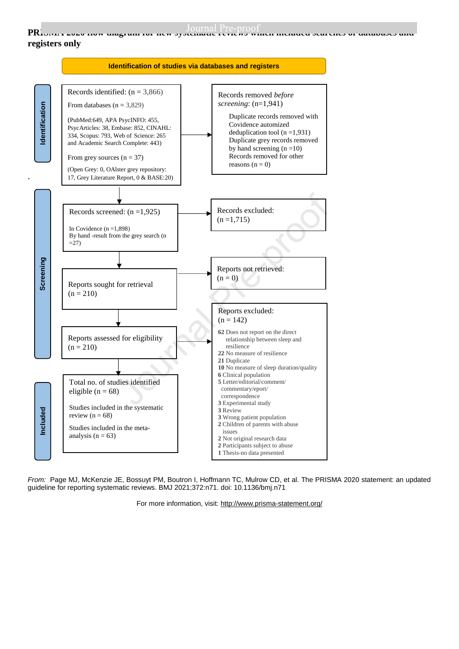

*From:* Page MJ, McKenzie JE, Bossuyt PM, Boutron I, Hoffmann TC, Mulrow CD, et al. The PRISMA 2020 statement: an updated guideline for reporting systematic reviews. BMJ 2021;372:n71. doi: 10.1136/bmj.n71

For more information, visit: <http://www.prisma-statement.org/>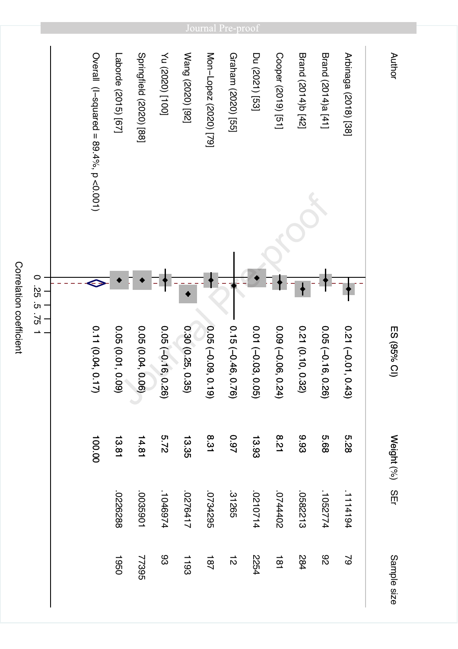| <b>Author</b>                                |                         | ES (95% CI)              | Weight (%) SEr |         | Sample size   |
|----------------------------------------------|-------------------------|--------------------------|----------------|---------|---------------|
| Arbinaga (2018) [38]                         |                         | $0.21 (-0.01, 0.43)$     | 5.28           | 1114194 | $\mathcal{S}$ |
| Brand (2014)a [41]                           |                         | 0.05 (-0.16, 0.26)       | 5.68           | 1052774 | 82            |
| Brand (2014)b [42]                           |                         | 0.21 (0.10, 0.32)        | 8.93           | 0582213 | 584           |
| Cooper (2019) [51]                           |                         | 0.09 (-0.06, 0.24)       | 12.8           | 2044402 | 181           |
| Du (2021) [53]                               |                         | 0.01 (-0.03, 0.05)       | 13.93          | 107144  | 2254          |
| Graham (2020) [55]                           |                         | $0.15 (-0.46, 0.76)$     | <b>2.97</b>    | 31265   | $\vec{z}$     |
| Mon-Lopez (2020) [79]                        |                         | 0.05 (-0.09, 0.19)       | 8.31           | S624295 | 181           |
| [26] (0202) bueM                             |                         | 0.30 (0.25, 0.35)        | 13.35          | 1276417 | 1193          |
| Nu (2020) L100]                              |                         | 0.05 (-0.16, 0.26)       | <b>5.72</b>    | 1046974 | 83            |
| Springfield (2020) [88]                      |                         | 0.05 (0.04, 0.06)        | 14.81          | 1069200 | <b>77395</b>  |
| Laborde (2015) [67]                          |                         | 0.05 (0.01, 0.09)        | 13.81          | 8879720 | 1950          |
| Overall (I-squared = 89.4%, $p \leq 0.001$ ) |                         | 0.11 (0.04, 0.17)        | 100.00         |         |               |
|                                              |                         |                          |                |         |               |
|                                              | $\circ$<br>.25.5.75     | $\overline{\phantom{0}}$ |                |         |               |
|                                              | Correlation coefficient |                          |                |         |               |

 $\overline{\phantom{a}}$ 

size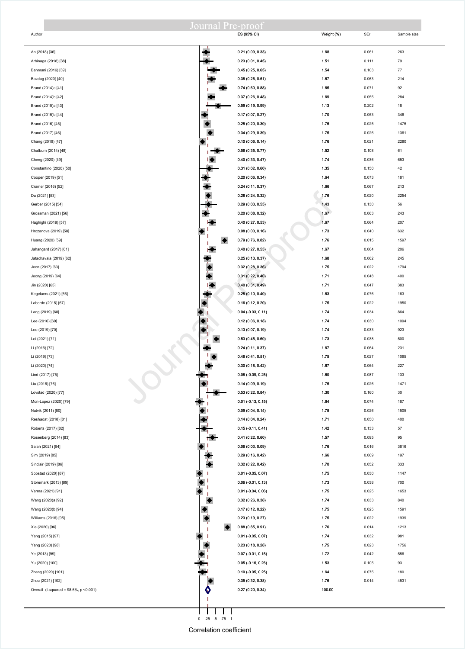# Correlation coefficient

### **ITT TTT** 0 .25 .5 .75 1

┒

| Author                                     |  |
|--------------------------------------------|--|
| An (2018) [36]                             |  |
| Arbinaga (2018) [38]                       |  |
| Bahmani (2016) [39]                        |  |
| Bozdag (2020) [40]                         |  |
| Brand (2014)a [41]                         |  |
| Brand (2014)b [42]                         |  |
| Brand (2015)a [43]                         |  |
| Brand (2015)b [44]                         |  |
| Brand (2016) [45]                          |  |
| Brand (2017) [46]                          |  |
| Chang (2019) [47]                          |  |
| Chatburn (2014) [48]                       |  |
| Cheng (2020) [49]                          |  |
| Constantino (2020) [50]                    |  |
| Cooper (2019) [51]                         |  |
| Cramer (2016) [52]                         |  |
| Du (2021) [53]                             |  |
| Gerber (2015) [54]<br>Grossman (2021) [56] |  |
| Haghighi (2019) [57]                       |  |
| Hrozanova (2019) [58]                      |  |
| Huang (2020) [59]                          |  |
| Jahangard (2017) [61]                      |  |
| Jatachavala (2019) [62]                    |  |
| Jeon (2017) [63]                           |  |
| Jeong (2019) [64]                          |  |
| Jin (2020) [65]                            |  |
| Kegelaers (2021) [66]                      |  |
| Laborde (2015) [67]                        |  |
| Lang (2019) [68]                           |  |
| Lee (2016) [69]                            |  |
| Lee (2019) [70]                            |  |
| Lei (2021) [71]                            |  |
| Li (2016) [72]                             |  |
| Li (2019) [73]<br>Li (2020) [74]           |  |
| Lind (2017) [75]                           |  |
| Liu (2016) [76]                            |  |
| Lovstad (2020) [77]                        |  |
| Mon-Lopez (2020) [79]                      |  |
| Natvik (2011) [80]                         |  |
| Reshadat (2018) [81]                       |  |
| Roberts (2017) [82]                        |  |
| Rosenberg (2014) [83]                      |  |
| Salah (2021) [84]                          |  |
| Sim (2019) [85]                            |  |
| Sinclair (2019) [86]                       |  |
| Sobstad (2020) [87]                        |  |
| Storemark (2013) [89]                      |  |
| Varma (2021) [91]                          |  |
| Wang (2020)a [92]                          |  |
| Wang (2020)b [94]                          |  |
| Williams (2016) [95]                       |  |
| Xie (2020) [96]<br>Yang (2015) [97]        |  |
| Yang (2020) [98]                           |  |
| Ye (2013) [99]                             |  |
| Yu (2020) [100]                            |  |
| Zhang (2020) [101]                         |  |
| Zhou (2021) [102]                          |  |
| Overall (I-squared = 98.6%, p < 0.001)     |  |
|                                            |  |

| Journal Pre-proof    |            |       |             |
|----------------------|------------|-------|-------------|
| ES (95% CI)          | Weight (%) | SEr   | Sample size |
|                      |            |       |             |
| 0.21 (0.09, 0.33)    | 1.68       | 0.061 | 263         |
| 0.23(0.01, 0.45)     | 1.51       | 0.111 | 79          |
| 0.45(0.25, 0.65)     | 1.54       | 0.103 | 77          |
| 0.38(0.26, 0.51)     | 1.67       | 0.063 | 214         |
| 0.74 (0.60, 0.88)    | 1.65       | 0.071 | 92          |
| 0.37(0.26, 0.48)     | 1.69       | 0.055 | 284         |
| 0.59(0.19, 0.99)     | 1.13       | 0.202 | 18          |
| 0.17(0.07, 0.27)     | 1.70       | 0.053 | 346         |
| 0.25(0.20, 0.30)     | 1.75       | 0.025 | 1475        |
| 0.34(0.29, 0.39)     | 1.75       | 0.026 | 1361        |
| 0.10(0.06, 0.14)     | 1.76       | 0.021 | 2280        |
| 0.56(0.35, 0.77)     | 1.52       | 0.108 | 61          |
| 0.40(0.33, 0.47)     | 1.74       | 0.036 | 653         |
| 0.31(0.02, 0.60)     |            | 0.150 |             |
|                      | 1.35       | 0.073 | 42          |
| 0.20 (0.06, 0.34)    | 1.64       |       | 181         |
| 0.24(0.11, 0.37)     | 1.66       | 0.067 | 213         |
| 0.28(0.24, 0.32)     | 1.76       | 0.020 | 2254        |
| 0.29(0.03, 0.55)     | 1.43       | 0.130 | 56          |
| 0.20(0.08, 0.32)     | 1.67       | 0.063 | 243         |
| 0.40(0.27, 0.53)     | 1.67       | 0.064 | 207         |
| 0.08(0.00, 0.16)     | 1.73       | 0.040 | 632         |
| 0.79 (0.76, 0.82)    | 1.76       | 0.015 | 1597        |
| 0.40(0.27, 0.53)     | 1.67       | 0.064 | 206         |
| 0.25(0.13, 0.37)     | 1.68       | 0.062 | 245         |
| 0.32(0.28, 0.36)     | 1.75       | 0.022 | 1794        |
| 0.31(0.22, 0.40)     | 1.71       | 0.048 | 400         |
| 0.40(0.31, 0.49)     | 1.71       | 0.047 | 383         |
| 0.25(0.10, 0.40)     | 1.63       | 0.076 | 163         |
| 0.16(0.12, 0.20)     | 1.75       | 0.022 | 1950        |
| $0.04$ (-0.03, 0.11) | 1.74       | 0.034 | 864         |
| 0.12(0.06, 0.18)     | 1.74       | 0.030 | 1094        |
| 0.13(0.07, 0.19)     | 1.74       | 0.033 | 923         |
| 0.53(0.45, 0.60)     | 1.73       | 0.038 | 500         |
| 0.24 (0.11, 0.37)    | 1.67       | 0.064 | 231         |
| 0.46(0.41, 0.51)     | 1.75       | 0.027 | 1065        |
| 0.30(0.18, 0.42)     | 1.67       | 0.064 | 227         |
| $0.08$ (-0.09, 0.25) | 1.60       | 0.087 | 133         |
| 0.14(0.09, 0.19)     | 1.75       | 0.026 | 1471        |
| 0.53(0.22, 0.84)     | 1.30       | 0.160 | 30          |
| $0.01$ (-0.13, 0.15) | 1.64       | 0.074 | 187         |
| 0.09(0.04, 0.14)     | 1.75       | 0.026 | 1505        |
| 0.14(0.04, 0.24)     | 1.71       | 0.050 | 400         |
| $0.15$ (-0.11, 0.41) | 1.42       | 0.133 | 57          |
| 0.41(0.22, 0.60)     | 1.57       | 0.095 | 95          |
| 0.06(0.03, 0.09)     | 1.76       | 0.016 | 3816        |
| 0.29(0.16, 0.42)     | 1.66       | 0.069 | 197         |
| 0.32(0.22, 0.42)     | 1.70       | 0.052 | 333         |
| $0.01$ (-0.05, 0.07) | 1.75       | 0.030 | 1147        |
|                      |            |       |             |
| $0.06$ (-0.01, 0.13) | 1.73       | 0.038 | 700         |
| $0.01$ (-0.04, 0.06) | 1.75       | 0.025 | 1653        |
| 0.32(0.26, 0.38)     | 1.74       | 0.033 | 840         |
| 0.17(0.12, 0.22)     | 1.75       | 0.025 | 1591        |
| 0.23(0.19, 0.27)     | 1.75       | 0.022 | 1939        |
| 0.88(0.85, 0.91)     | 1.76       | 0.014 | 1213        |
| $0.01$ (-0.05, 0.07) | 1.74       | 0.032 | 981         |
| 0.23(0.18, 0.28)     | 1.75       | 0.023 | 1756        |
| $0.07$ (-0.01, 0.15) | 1.72       | 0.042 | 556         |
|                      | 1.53       | 0.105 | 93          |
| $0.05$ (-0.16, 0.26) |            |       |             |
| $0.10$ (-0.05, 0.25) | 1.64       | 0.075 | 180         |
| 0.35(0.32, 0.38)     | 1.76       | 0.014 | 4531        |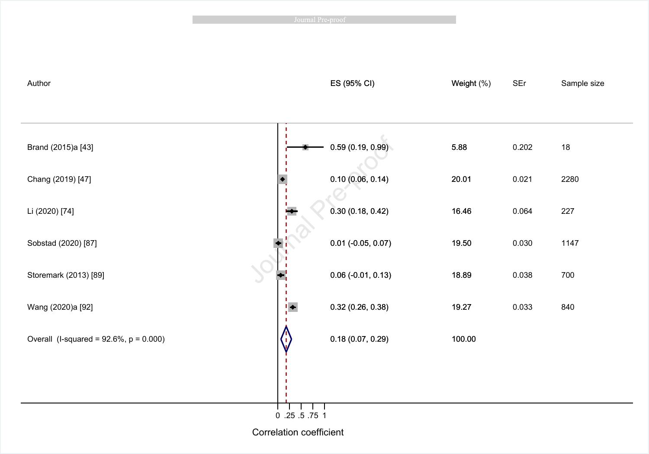Correlation coefficient



Author

ES (95% CI)

Weight (%) SEr Sample si: SEr Sample size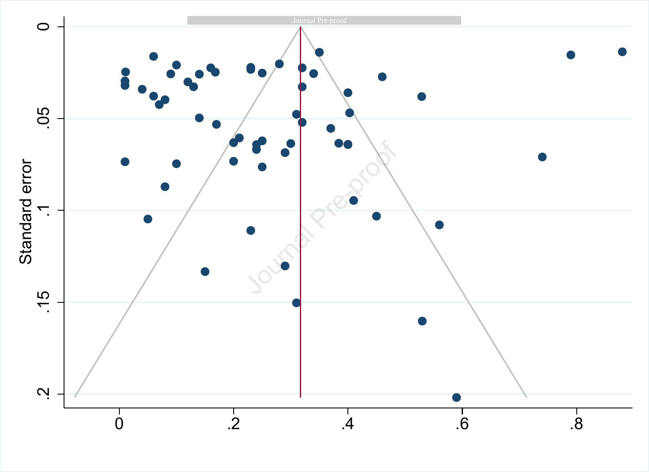